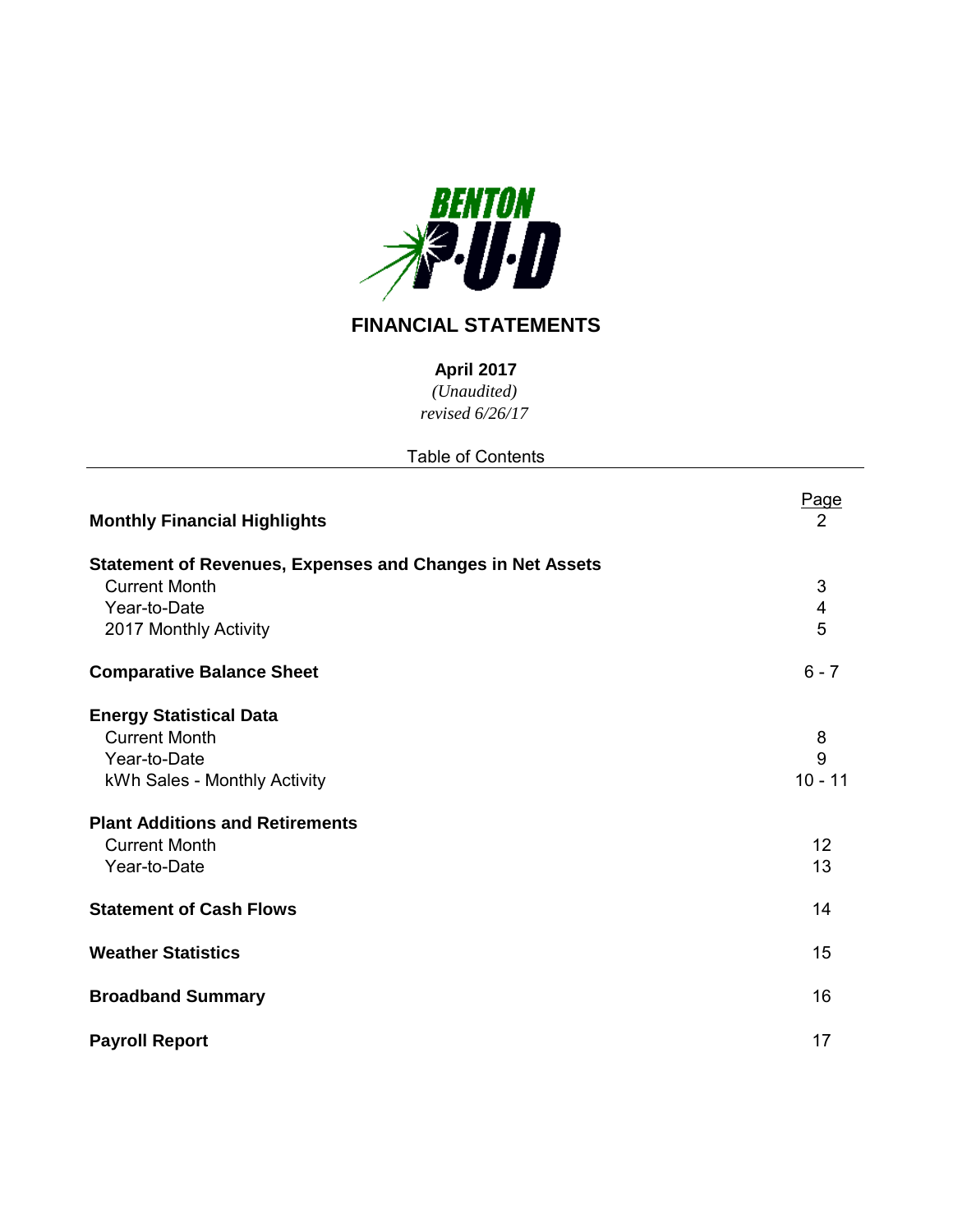

# **FINANCIAL STATEMENTS**

**April 2017**

*(Unaudited)*

*revised 6/26/17*

| <b>Table of Contents</b> |
|--------------------------|
|                          |

| <b>Monthly Financial Highlights</b>                                                                                                                                      | Page<br>2                 |
|--------------------------------------------------------------------------------------------------------------------------------------------------------------------------|---------------------------|
| <b>Statement of Revenues, Expenses and Changes in Net Assets</b><br><b>Current Month</b><br>Year-to-Date<br>2017 Monthly Activity                                        | 3<br>4<br>5               |
| <b>Comparative Balance Sheet</b>                                                                                                                                         | $6 - 7$                   |
| <b>Energy Statistical Data</b><br><b>Current Month</b><br>Year-to-Date<br>kWh Sales - Monthly Activity<br><b>Plant Additions and Retirements</b><br><b>Current Month</b> | 8<br>9<br>$10 - 11$<br>12 |
| Year-to-Date                                                                                                                                                             | 13                        |
| <b>Statement of Cash Flows</b>                                                                                                                                           | 14                        |
| <b>Weather Statistics</b>                                                                                                                                                | 15                        |
| <b>Broadband Summary</b>                                                                                                                                                 | 16                        |
| <b>Payroll Report</b>                                                                                                                                                    | 17                        |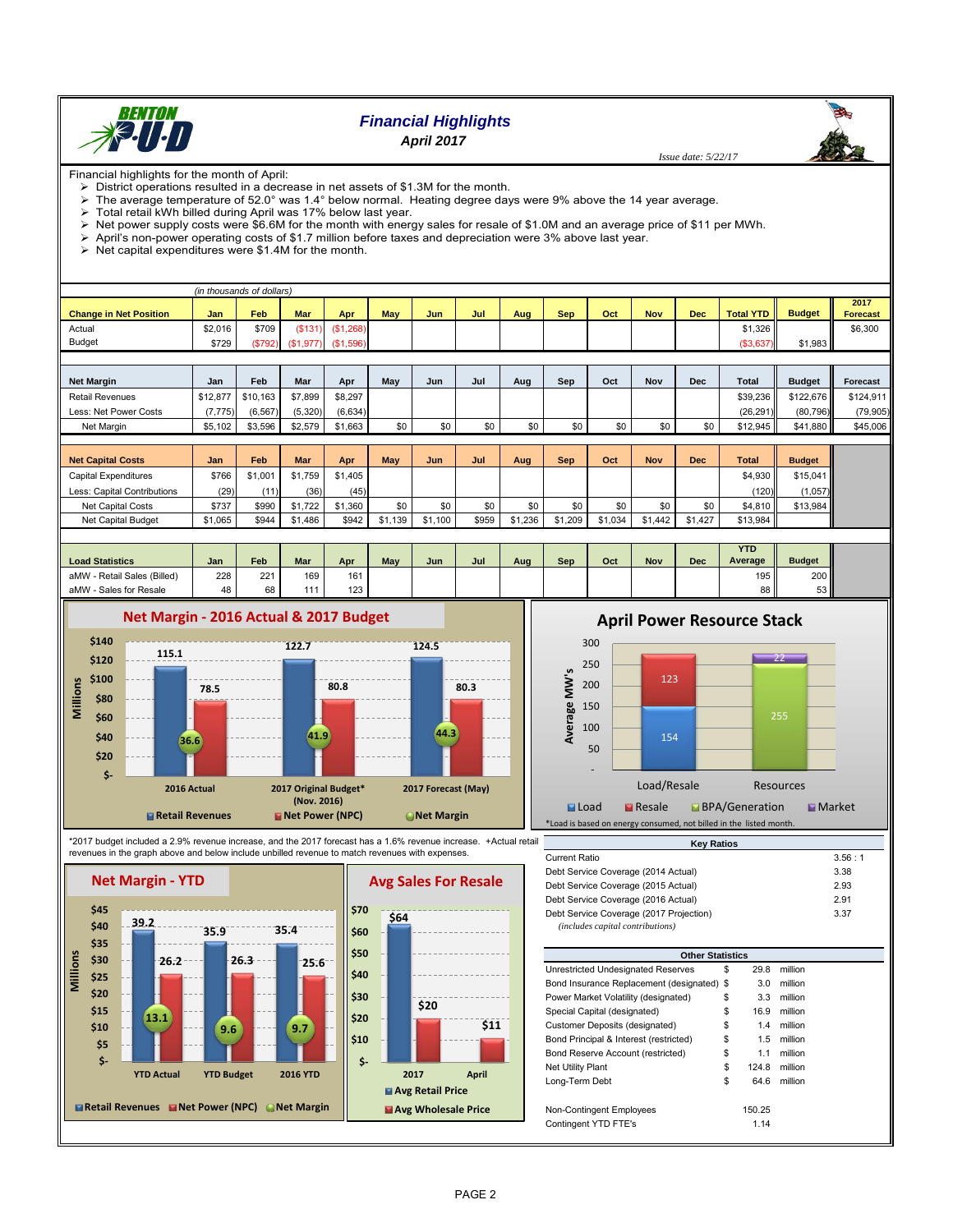

## *Financial Highlights April 2017*

 *Issue date: 5/22/17*

Financial highlights for the month of April:

District operations resulted in a decrease in net assets of \$1.3M for the month.

 $\triangleright$  The average temperature of 52.0° was 1.4° below normal. Heating degree days were 9% above the 14 year average.

 $\triangleright$  Total retail kWh billed during April was 17% below last year.<br>  $\triangleright$  Net power supply costs were \$6.6M for the month with energently Net power supply costs were \$6.6M for the month with energy sales for resale of \$1.0M and an average price of \$11 per MWh.<br>> April's non-power operating costs of \$1.7 million before taxes and depreciation were 3% above la

April's non-power operating costs of \$1.7 million before taxes and depreciation were 3% above last year.

 $\triangleright$  Net capital expenditures were \$1.4M for the month.

|                               |          | (in thousands of dollars) |            |           |         |            |       |         |            |         |            |            |                  |               |                         |
|-------------------------------|----------|---------------------------|------------|-----------|---------|------------|-------|---------|------------|---------|------------|------------|------------------|---------------|-------------------------|
| <b>Change in Net Position</b> | Jan      | <b>Feb</b>                | <b>Mar</b> | Apr       | May     | <b>Jun</b> | Jul   | Aug     | <b>Sep</b> | Oct     | <b>Nov</b> | <b>Dec</b> | <b>Total YTD</b> | <b>Budget</b> | 2017<br><b>Forecast</b> |
| Actual                        | \$2,016  | \$709                     | (S131)     | (S1,268)  |         |            |       |         |            |         |            |            | \$1,326          |               | \$6,300                 |
| Budget                        | \$729    | (\$792)                   | (\$1,977)  | (\$1,596) |         |            |       |         |            |         |            |            | ( \$3,637)       | \$1,983       |                         |
|                               |          |                           |            |           |         |            |       |         |            |         |            |            |                  |               |                         |
| <b>Net Margin</b>             | Jan      | Feb                       | Mar        | Apr       | May     | Jun        | Jul   | Aug     | Sep        | Oct     | Nov        | <b>Dec</b> | <b>Total</b>     | <b>Budget</b> | Forecast                |
| <b>Retail Revenues</b>        | \$12,877 | \$10,163                  | \$7,899    | \$8,297   |         |            |       |         |            |         |            |            | \$39,236         | \$122,676     | \$124,911               |
| Less: Net Power Costs         | (7, 775) | (6, 567)                  | (5,320)    | (6,634)   |         |            |       |         |            |         |            |            | (26, 291)        | (80, 796)     | (79, 905)               |
| Net Margin                    | \$5,102  | \$3,596                   | \$2,579    | \$1,663   | \$0     | \$0        | \$0   | \$0     | \$0        | \$0     | \$0        | \$0        | \$12,945         | \$41,880      | \$45,006                |
|                               |          |                           |            |           |         |            |       |         |            |         |            |            |                  |               |                         |
| <b>Net Capital Costs</b>      | Jan      | Feb                       | <b>Mar</b> | Apr       | May     | Jun        | Jul   | Aug     | <b>Sep</b> | Oct     | <b>Nov</b> | <b>Dec</b> | <b>Total</b>     | <b>Budget</b> |                         |
| Capital Expenditures          | \$766    | \$1,001                   | \$1,759    | \$1,405   |         |            |       |         |            |         |            |            | \$4,930          | \$15,041      |                         |
| Less: Capital Contributions   | (29)     | (11)                      | (36)       | (45)      |         |            |       |         |            |         |            |            | (120)            | (1,057)       |                         |
| <b>Net Capital Costs</b>      | \$737    | \$990                     | \$1,722    | \$1,360   | \$0     | \$0        | \$0   | \$0     | \$0        | \$0     | \$0        | \$0        | \$4,810          | \$13,984      |                         |
| Net Capital Budget            | \$1,065  | \$944                     | \$1,486    | \$942     | \$1,139 | \$1,100    | \$959 | \$1,236 | \$1,209    | \$1,034 | \$1,442    | \$1,427    | \$13,984         |               |                         |
|                               |          |                           |            |           |         |            |       |         |            |         |            |            |                  |               |                         |

|                              |     |     |            |     |     |     |     |     |     |     |     |     | YTD     |               |  |
|------------------------------|-----|-----|------------|-----|-----|-----|-----|-----|-----|-----|-----|-----|---------|---------------|--|
| <b>Load Statistics</b>       | Jan | Feb | <b>Mar</b> | Apr | May | Jun | Jul | Aug | Sep | Oct | Nov | Dec | Average | <b>Budget</b> |  |
| Retail Sales (Billed)<br>aMW | 228 | 221 | 169        | 161 |     |     |     |     |     |     |     |     | 195     | 200           |  |
| aMW<br>Sales for Resale      | 48  | 68  | 444        | 123 |     |     |     |     |     |     |     |     | 88      | 53            |  |





\*2017 budget included a 2.9% revenue increase, and the 2017 forecast has a 1.6% revenue increase. +Actual retail revenues in the graph above and below include unbilled revenue to match revenues with expenses.







## **April Power Resource Stack**



| <b>Key Ratios</b>                                                           |          |
|-----------------------------------------------------------------------------|----------|
| Current Ratio                                                               | 3.56 : 1 |
| Debt Service Coverage (2014 Actual)                                         | 3.38     |
| Debt Service Coverage (2015 Actual)                                         | 2.93     |
| Debt Service Coverage (2016 Actual)                                         | 2.91     |
| Debt Service Coverage (2017 Projection)<br>(includes capital contributions) | 3.37     |
|                                                                             |          |

|                                            | <b>Other Statistics</b> |        |         |  |  |  |  |  |
|--------------------------------------------|-------------------------|--------|---------|--|--|--|--|--|
| Unrestricted Undesignated Reserves         | \$                      | 29.8   | million |  |  |  |  |  |
| Bond Insurance Replacement (designated) \$ |                         | 3.0    | million |  |  |  |  |  |
| Power Market Volatility (designated)       | \$                      | 3.3    | million |  |  |  |  |  |
| Special Capital (designated)               | \$                      | 16.9   | million |  |  |  |  |  |
| Customer Deposits (designated)             | \$                      | 1.4    | million |  |  |  |  |  |
| Bond Principal & Interest (restricted)     | \$                      | 1.5    | million |  |  |  |  |  |
| Bond Reserve Account (restricted)          | \$                      | 1.1    | million |  |  |  |  |  |
| Net Utility Plant                          | \$                      | 124.8  | million |  |  |  |  |  |
| Long-Term Debt                             | \$                      | 64.6   | million |  |  |  |  |  |
| Non-Contingent Employees                   |                         | 150.25 |         |  |  |  |  |  |
| Contingent YTD FTE's                       |                         | 1.14   |         |  |  |  |  |  |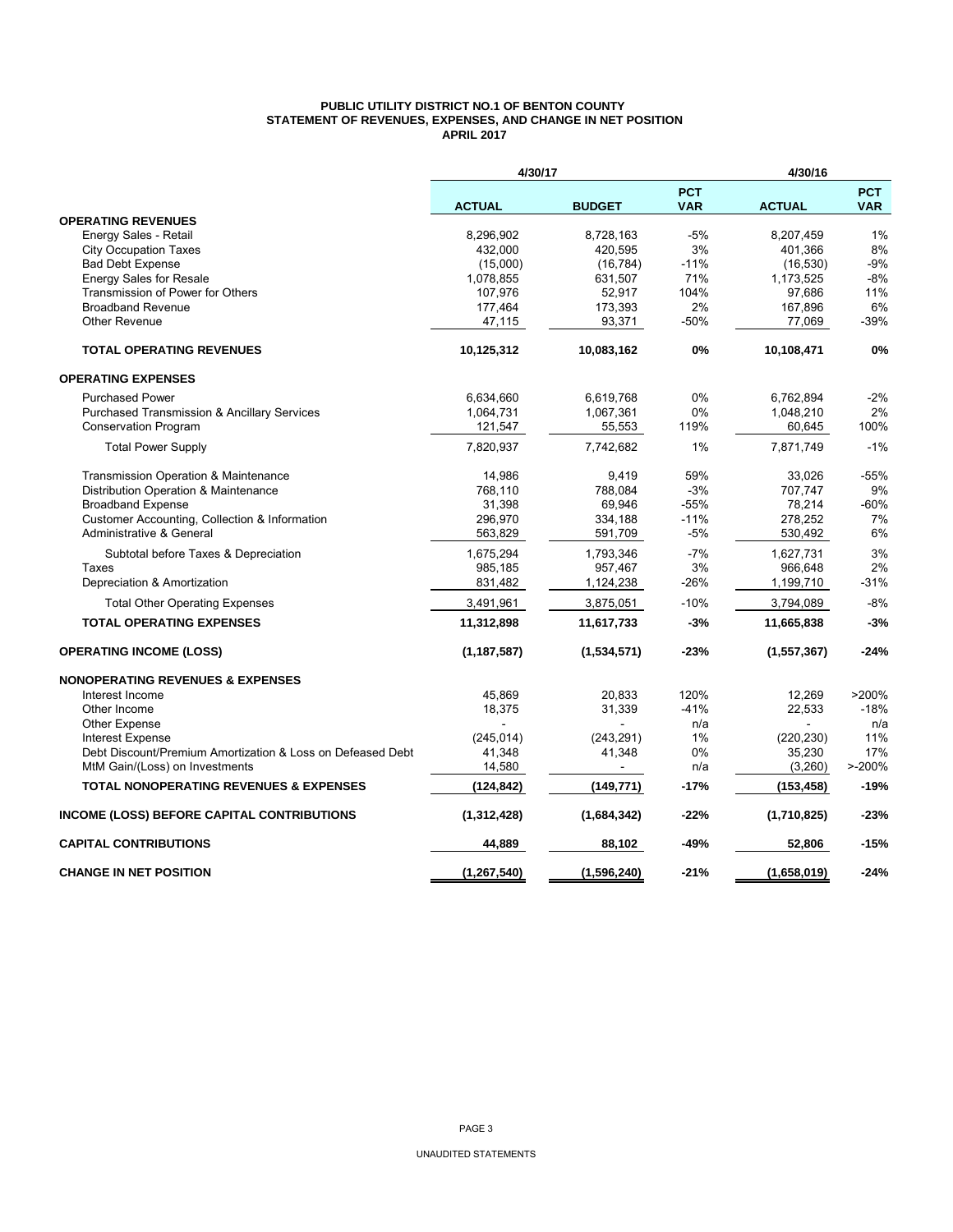#### **PUBLIC UTILITY DISTRICT NO.1 OF BENTON COUNTY STATEMENT OF REVENUES, EXPENSES, AND CHANGE IN NET POSITION APRIL 2017**

|                                                            | 4/30/17       |               | 4/30/16                  |               |                          |
|------------------------------------------------------------|---------------|---------------|--------------------------|---------------|--------------------------|
|                                                            | <b>ACTUAL</b> | <b>BUDGET</b> | <b>PCT</b><br><b>VAR</b> | <b>ACTUAL</b> | <b>PCT</b><br><b>VAR</b> |
| <b>OPERATING REVENUES</b>                                  |               |               |                          |               |                          |
| Energy Sales - Retail                                      | 8,296,902     | 8,728,163     | $-5%$                    | 8,207,459     | 1%                       |
| <b>City Occupation Taxes</b>                               | 432,000       | 420,595       | 3%                       | 401,366       | 8%                       |
| <b>Bad Debt Expense</b>                                    | (15,000)      | (16, 784)     | $-11%$                   | (16, 530)     | $-9%$                    |
| Energy Sales for Resale                                    | 1,078,855     | 631,507       | 71%                      | 1,173,525     | $-8%$                    |
| Transmission of Power for Others                           | 107,976       | 52,917        | 104%                     | 97,686        | 11%                      |
| <b>Broadband Revenue</b>                                   | 177,464       | 173,393       | 2%                       | 167,896       | 6%                       |
| <b>Other Revenue</b>                                       | 47,115        | 93,371        | $-50%$                   | 77,069        | $-39%$                   |
| <b>TOTAL OPERATING REVENUES</b>                            | 10,125,312    | 10,083,162    | 0%                       | 10,108,471    | 0%                       |
| <b>OPERATING EXPENSES</b>                                  |               |               |                          |               |                          |
| <b>Purchased Power</b>                                     | 6,634,660     | 6,619,768     | 0%                       | 6,762,894     | $-2%$                    |
| <b>Purchased Transmission &amp; Ancillary Services</b>     | 1,064,731     | 1,067,361     | 0%                       | 1,048,210     | 2%                       |
| <b>Conservation Program</b>                                | 121,547       | 55,553        | 119%                     | 60,645        | 100%                     |
| <b>Total Power Supply</b>                                  | 7,820,937     | 7,742,682     | 1%                       | 7,871,749     | $-1%$                    |
| Transmission Operation & Maintenance                       | 14,986        | 9,419         | 59%                      | 33,026        | $-55%$                   |
| Distribution Operation & Maintenance                       | 768,110       | 788.084       | $-3%$                    | 707,747       | 9%                       |
| <b>Broadband Expense</b>                                   | 31,398        | 69,946        | $-55%$                   | 78,214        | $-60%$                   |
| Customer Accounting, Collection & Information              | 296,970       | 334,188       | $-11%$                   | 278,252       | 7%                       |
| Administrative & General                                   | 563,829       | 591,709       | $-5%$                    | 530,492       | 6%                       |
| Subtotal before Taxes & Depreciation                       | 1,675,294     | 1,793,346     | $-7%$                    | 1,627,731     | 3%                       |
| Taxes                                                      | 985,185       | 957,467       | 3%                       | 966,648       | 2%                       |
| Depreciation & Amortization                                | 831,482       | 1,124,238     | -26%                     | 1,199,710     | -31%                     |
| <b>Total Other Operating Expenses</b>                      | 3,491,961     | 3,875,051     | $-10%$                   | 3,794,089     | $-8%$                    |
| <b>TOTAL OPERATING EXPENSES</b>                            | 11,312,898    | 11,617,733    | -3%                      | 11,665,838    | $-3%$                    |
| <b>OPERATING INCOME (LOSS)</b>                             | (1, 187, 587) | (1,534,571)   | $-23%$                   | (1, 557, 367) | $-24%$                   |
| <b>NONOPERATING REVENUES &amp; EXPENSES</b>                |               |               |                          |               |                          |
| Interest Income                                            | 45,869        | 20,833        | 120%                     | 12,269        | >200%                    |
| Other Income                                               | 18,375        | 31,339        | $-41%$                   | 22,533        | $-18%$                   |
| <b>Other Expense</b>                                       |               |               | n/a                      |               | n/a                      |
| <b>Interest Expense</b>                                    | (245, 014)    | (243, 291)    | 1%                       | (220, 230)    | 11%                      |
| Debt Discount/Premium Amortization & Loss on Defeased Debt | 41,348        | 41,348        | 0%                       | 35,230        | 17%                      |
| MtM Gain/(Loss) on Investments                             | 14,580        |               | n/a                      | (3,260)       | $> -200%$                |
| <b>TOTAL NONOPERATING REVENUES &amp; EXPENSES</b>          | (124, 842)    | (149, 771)    | $-17%$                   | (153, 458)    | $-19%$                   |
| INCOME (LOSS) BEFORE CAPITAL CONTRIBUTIONS                 | (1,312,428)   | (1,684,342)   | $-22%$                   | (1,710,825)   | $-23%$                   |
| <b>CAPITAL CONTRIBUTIONS</b>                               | 44,889        | 88,102        | -49%                     | 52,806        | $-15%$                   |
| <b>CHANGE IN NET POSITION</b>                              | (1, 267, 540) | (1,596,240)   | $-21%$                   | (1,658,019)   | $-24%$                   |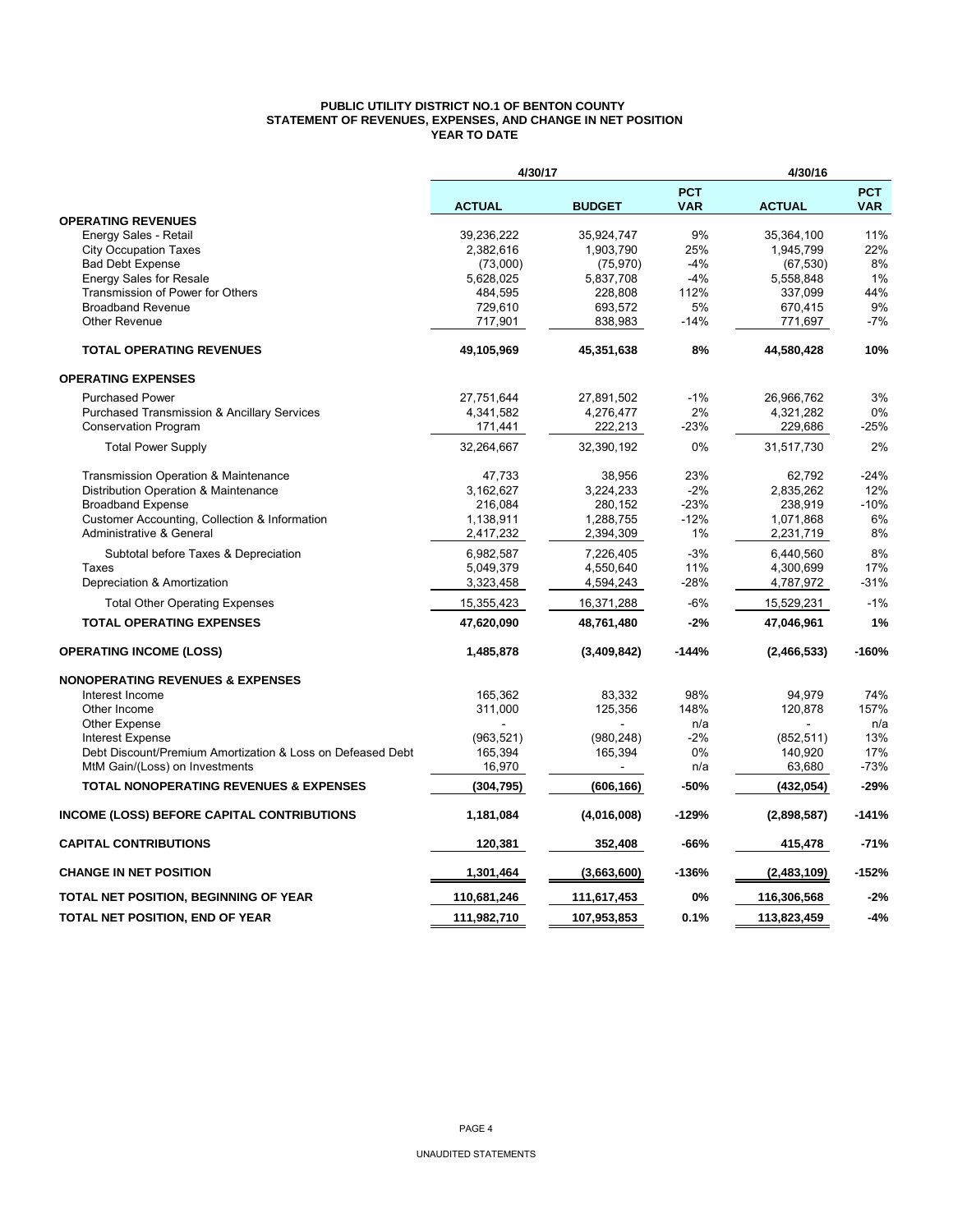#### **PUBLIC UTILITY DISTRICT NO.1 OF BENTON COUNTY STATEMENT OF REVENUES, EXPENSES, AND CHANGE IN NET POSITION YEAR TO DATE**

|                                                            | 4/30/17       |               |                          |               |                          |
|------------------------------------------------------------|---------------|---------------|--------------------------|---------------|--------------------------|
|                                                            | <b>ACTUAL</b> | <b>BUDGET</b> | <b>PCT</b><br><b>VAR</b> | <b>ACTUAL</b> | <b>PCT</b><br><b>VAR</b> |
| <b>OPERATING REVENUES</b>                                  |               |               |                          |               |                          |
| Energy Sales - Retail                                      | 39,236,222    | 35,924,747    | 9%                       | 35,364,100    | 11%                      |
| <b>City Occupation Taxes</b>                               | 2,382,616     | 1,903,790     | 25%                      | 1,945,799     | 22%                      |
| <b>Bad Debt Expense</b>                                    | (73,000)      | (75, 970)     | $-4%$                    | (67, 530)     | 8%                       |
| <b>Energy Sales for Resale</b>                             | 5,628,025     | 5,837,708     | $-4%$                    | 5,558,848     | 1%                       |
| Transmission of Power for Others                           | 484,595       | 228,808       | 112%                     | 337,099       | 44%                      |
| <b>Broadband Revenue</b>                                   | 729,610       | 693,572       | 5%                       | 670,415       | 9%                       |
| Other Revenue                                              | 717,901       | 838,983       | $-14%$                   | 771,697       | $-7%$                    |
| <b>TOTAL OPERATING REVENUES</b>                            | 49,105,969    | 45,351,638    | 8%                       | 44,580,428    | 10%                      |
| <b>OPERATING EXPENSES</b>                                  |               |               |                          |               |                          |
| <b>Purchased Power</b>                                     | 27,751,644    | 27,891,502    | $-1%$                    | 26,966,762    | 3%                       |
| <b>Purchased Transmission &amp; Ancillary Services</b>     | 4,341,582     | 4,276,477     | 2%                       | 4,321,282     | 0%                       |
| <b>Conservation Program</b>                                | 171,441       | 222,213       | $-23%$                   | 229,686       | $-25%$                   |
| <b>Total Power Supply</b>                                  | 32,264,667    | 32,390,192    | 0%                       | 31,517,730    | 2%                       |
| Transmission Operation & Maintenance                       | 47,733        | 38,956        | 23%                      | 62,792        | $-24%$                   |
| Distribution Operation & Maintenance                       | 3,162,627     | 3,224,233     | $-2%$                    | 2,835,262     | 12%                      |
| <b>Broadband Expense</b>                                   | 216,084       | 280,152       | $-23%$                   | 238,919       | $-10%$                   |
| Customer Accounting, Collection & Information              | 1,138,911     | 1,288,755     | $-12%$                   | 1,071,868     | 6%                       |
| Administrative & General                                   | 2,417,232     | 2,394,309     | 1%                       | 2,231,719     | 8%                       |
| Subtotal before Taxes & Depreciation                       | 6,982,587     | 7,226,405     | $-3%$                    | 6,440,560     | 8%                       |
| Taxes                                                      | 5,049,379     | 4,550,640     | 11%                      | 4,300,699     | 17%                      |
| Depreciation & Amortization                                | 3,323,458     | 4,594,243     | -28%                     | 4,787,972     | $-31%$                   |
| <b>Total Other Operating Expenses</b>                      | 15,355,423    | 16,371,288    | $-6%$                    | 15,529,231    | $-1%$                    |
| <b>TOTAL OPERATING EXPENSES</b>                            | 47,620,090    | 48,761,480    | $-2%$                    | 47,046,961    | 1%                       |
| <b>OPERATING INCOME (LOSS)</b>                             | 1,485,878     | (3,409,842)   | $-144%$                  | (2,466,533)   | $-160%$                  |
| <b>NONOPERATING REVENUES &amp; EXPENSES</b>                |               |               |                          |               |                          |
| Interest Income                                            | 165,362       | 83,332        | 98%                      | 94,979        | 74%                      |
| Other Income                                               | 311,000       | 125,356       | 148%                     | 120,878       | 157%                     |
| <b>Other Expense</b>                                       |               |               | n/a                      |               | n/a                      |
| <b>Interest Expense</b>                                    | (963, 521)    | (980, 248)    | $-2%$                    | (852, 511)    | 13%                      |
| Debt Discount/Premium Amortization & Loss on Defeased Debt | 165,394       | 165,394       | 0%                       | 140,920       | 17%                      |
| MtM Gain/(Loss) on Investments                             | 16,970        |               | n/a                      | 63,680        | $-73%$                   |
| <b>TOTAL NONOPERATING REVENUES &amp; EXPENSES</b>          | (304, 795)    | (606, 166)    | -50%                     | (432,054)     | $-29%$                   |
| <b>INCOME (LOSS) BEFORE CAPITAL CONTRIBUTIONS</b>          | 1,181,084     | (4,016,008)   | $-129%$                  | (2,898,587)   | -141%                    |
| <b>CAPITAL CONTRIBUTIONS</b>                               | 120,381       | 352,408       | -66%                     | 415,478       | $-71%$                   |
| <b>CHANGE IN NET POSITION</b>                              | 1,301,464     | (3,663,600)   | $-136%$                  | (2,483,109)   | $-152%$                  |
| <b>TOTAL NET POSITION, BEGINNING OF YEAR</b>               | 110,681,246   | 111,617,453   | 0%                       | 116,306,568   | $-2%$                    |
| TOTAL NET POSITION, END OF YEAR                            | 111,982,710   | 107,953,853   | 0.1%                     | 113,823,459   | $-4%$                    |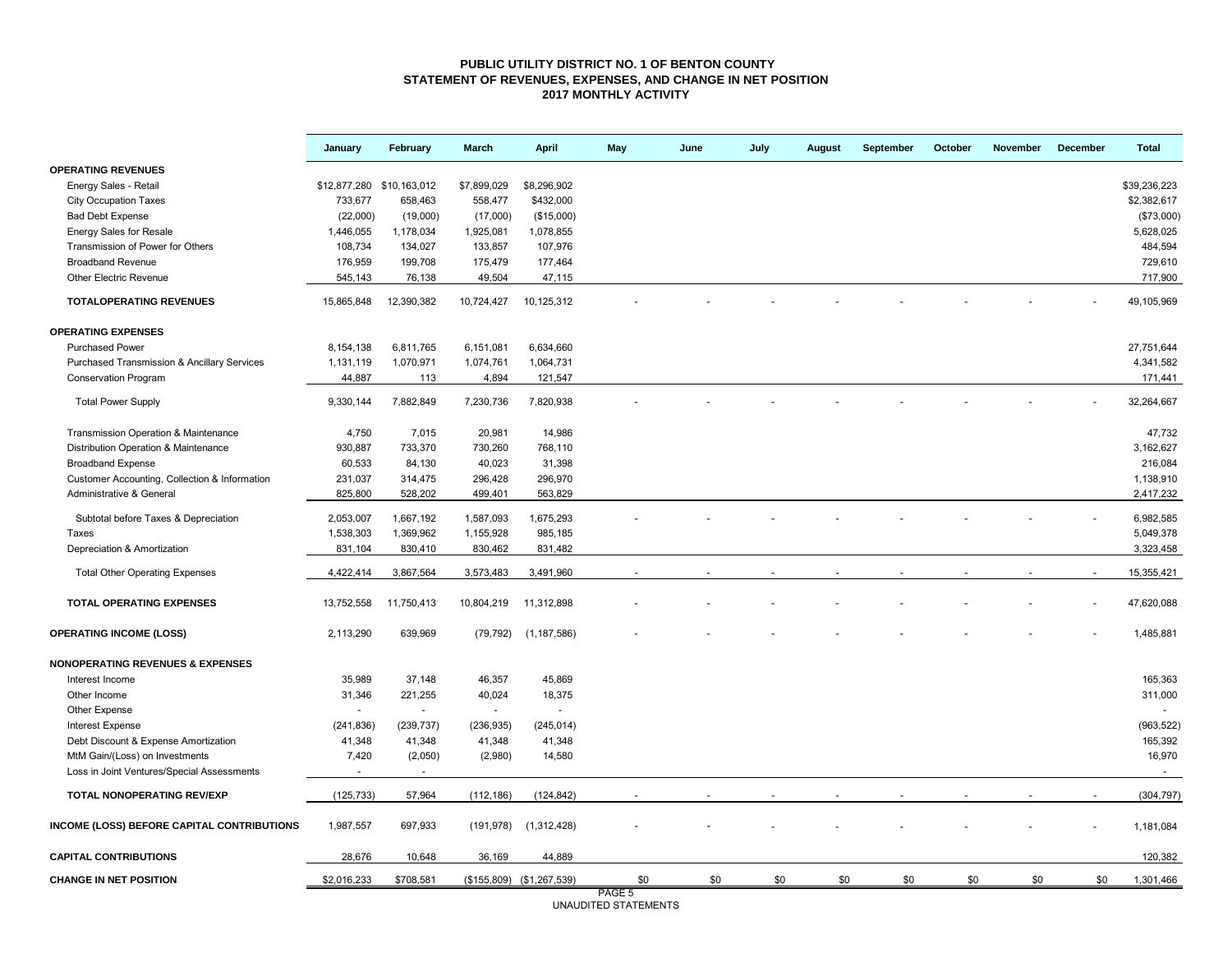#### **PUBLIC UTILITY DISTRICT NO. 1 OF BENTON COUNTY STATEMENT OF REVENUES, EXPENSES, AND CHANGE IN NET POSITION 2017 MONTHLY ACTIVITY**

|                                               | January                   | February       | <b>March</b>   | <b>April</b>              | May               | June | July | <b>August</b> | September | October | <b>November</b> | <b>December</b> | <b>Total</b> |
|-----------------------------------------------|---------------------------|----------------|----------------|---------------------------|-------------------|------|------|---------------|-----------|---------|-----------------|-----------------|--------------|
| <b>OPERATING REVENUES</b>                     |                           |                |                |                           |                   |      |      |               |           |         |                 |                 |              |
| Energy Sales - Retail                         | \$12,877,280 \$10,163,012 |                | \$7,899,029    | \$8,296,902               |                   |      |      |               |           |         |                 |                 | \$39,236,223 |
| <b>City Occupation Taxes</b>                  | 733,677                   | 658,463        | 558,477        | \$432,000                 |                   |      |      |               |           |         |                 |                 | \$2,382,617  |
| <b>Bad Debt Expense</b>                       | (22,000)                  | (19,000)       | (17,000)       | (\$15,000)                |                   |      |      |               |           |         |                 |                 | (\$73,000)   |
| <b>Energy Sales for Resale</b>                | 1,446,055                 | 1,178,034      | 1,925,081      | 1,078,855                 |                   |      |      |               |           |         |                 |                 | 5,628,025    |
| Transmission of Power for Others              | 108,734                   | 134,027        | 133,857        | 107,976                   |                   |      |      |               |           |         |                 |                 | 484,594      |
| <b>Broadband Revenue</b>                      | 176,959                   | 199,708        | 175,479        | 177,464                   |                   |      |      |               |           |         |                 |                 | 729,610      |
| <b>Other Electric Revenue</b>                 | 545,143                   | 76,138         | 49,504         | 47,115                    |                   |      |      |               |           |         |                 |                 | 717,900      |
| <b>TOTALOPERATING REVENUES</b>                | 15,865,848                | 12,390,382     | 10,724,427     | 10,125,312                |                   |      |      |               |           |         |                 |                 | 49,105,969   |
| <b>OPERATING EXPENSES</b>                     |                           |                |                |                           |                   |      |      |               |           |         |                 |                 |              |
| <b>Purchased Power</b>                        | 8,154,138                 | 6,811,765      | 6,151,081      | 6,634,660                 |                   |      |      |               |           |         |                 |                 | 27,751,644   |
| Purchased Transmission & Ancillary Services   | 1,131,119                 | 1,070,971      | 1,074,761      | 1,064,731                 |                   |      |      |               |           |         |                 |                 | 4,341,582    |
| <b>Conservation Program</b>                   | 44,887                    | 113            | 4,894          | 121,547                   |                   |      |      |               |           |         |                 |                 | 171,441      |
| <b>Total Power Supply</b>                     | 9,330,144                 | 7,882,849      | 7,230,736      | 7,820,938                 |                   |      |      |               |           |         |                 |                 | 32,264,667   |
| Transmission Operation & Maintenance          | 4,750                     | 7,015          | 20,981         | 14,986                    |                   |      |      |               |           |         |                 |                 | 47,732       |
| Distribution Operation & Maintenance          | 930,887                   | 733,370        | 730,260        | 768,110                   |                   |      |      |               |           |         |                 |                 | 3,162,627    |
| <b>Broadband Expense</b>                      | 60,533                    | 84,130         | 40,023         | 31,398                    |                   |      |      |               |           |         |                 |                 | 216,084      |
| Customer Accounting, Collection & Information | 231,037                   | 314,475        | 296,428        | 296,970                   |                   |      |      |               |           |         |                 |                 | 1,138,910    |
| Administrative & General                      | 825,800                   | 528,202        | 499,401        | 563,829                   |                   |      |      |               |           |         |                 |                 | 2,417,232    |
|                                               |                           |                |                |                           |                   |      |      |               |           |         |                 |                 |              |
| Subtotal before Taxes & Depreciation          | 2,053,007                 | 1,667,192      | 1,587,093      | 1,675,293                 |                   |      |      |               |           |         |                 |                 | 6,982,585    |
| Taxes                                         | 1,538,303                 | 1,369,962      | 1,155,928      | 985,185                   |                   |      |      |               |           |         |                 |                 | 5,049,378    |
| Depreciation & Amortization                   | 831,104                   | 830,410        | 830,462        | 831,482                   |                   |      |      |               |           |         |                 |                 | 3,323,458    |
| <b>Total Other Operating Expenses</b>         | 4,422,414                 | 3,867,564      | 3,573,483      | 3,491,960                 |                   |      |      |               |           |         |                 |                 | 15,355,421   |
| <b>TOTAL OPERATING EXPENSES</b>               | 13,752,558                | 11,750,413     | 10,804,219     | 11,312,898                |                   |      |      |               |           |         |                 |                 | 47,620,088   |
| <b>OPERATING INCOME (LOSS)</b>                | 2,113,290                 | 639,969        | (79, 792)      | (1, 187, 586)             |                   |      |      |               |           |         |                 |                 | 1,485,881    |
| <b>NONOPERATING REVENUES &amp; EXPENSES</b>   |                           |                |                |                           |                   |      |      |               |           |         |                 |                 |              |
| Interest Income                               | 35,989                    | 37,148         | 46,357         | 45,869                    |                   |      |      |               |           |         |                 |                 | 165,363      |
| Other Income                                  | 31,346                    | 221,255        | 40,024         | 18,375                    |                   |      |      |               |           |         |                 |                 | 311,000      |
| Other Expense                                 |                           | $\overline{a}$ | $\overline{a}$ | $\sim$                    |                   |      |      |               |           |         |                 |                 |              |
| <b>Interest Expense</b>                       | (241, 836)                | (239, 737)     | (236, 935)     | (245, 014)                |                   |      |      |               |           |         |                 |                 | (963, 522)   |
| Debt Discount & Expense Amortization          | 41,348                    | 41,348         | 41,348         | 41,348                    |                   |      |      |               |           |         |                 |                 | 165,392      |
| MtM Gain/(Loss) on Investments                | 7,420                     | (2,050)        | (2,980)        | 14,580                    |                   |      |      |               |           |         |                 |                 | 16,970       |
| Loss in Joint Ventures/Special Assessments    | $\sim$                    | $\sim$         |                |                           |                   |      |      |               |           |         |                 |                 | $\sim$       |
| TOTAL NONOPERATING REV/EXP                    | (125, 733)                | 57,964         | (112, 186)     | (124, 842)                |                   |      |      |               |           |         |                 |                 | (304, 797)   |
| INCOME (LOSS) BEFORE CAPITAL CONTRIBUTIONS    | 1,987,557                 | 697,933        | (191, 978)     | (1,312,428)               |                   |      |      |               |           |         |                 |                 | 1,181,084    |
| <b>CAPITAL CONTRIBUTIONS</b>                  | 28,676                    | 10,648         | 36,169         | 44,889                    |                   |      |      |               |           |         |                 |                 | 120,382      |
| <b>CHANGE IN NET POSITION</b>                 | \$2,016,233               | \$708,581      |                | (\$155,809) (\$1,267,539) | \$0               | \$0  | \$0  | \$0           | \$0       | \$0     | \$0             | \$0             | 1,301,466    |
|                                               |                           |                |                |                           | PAGE <sub>5</sub> |      |      |               |           |         |                 |                 |              |

PAGE 5 UNAUDITED STATEMENTS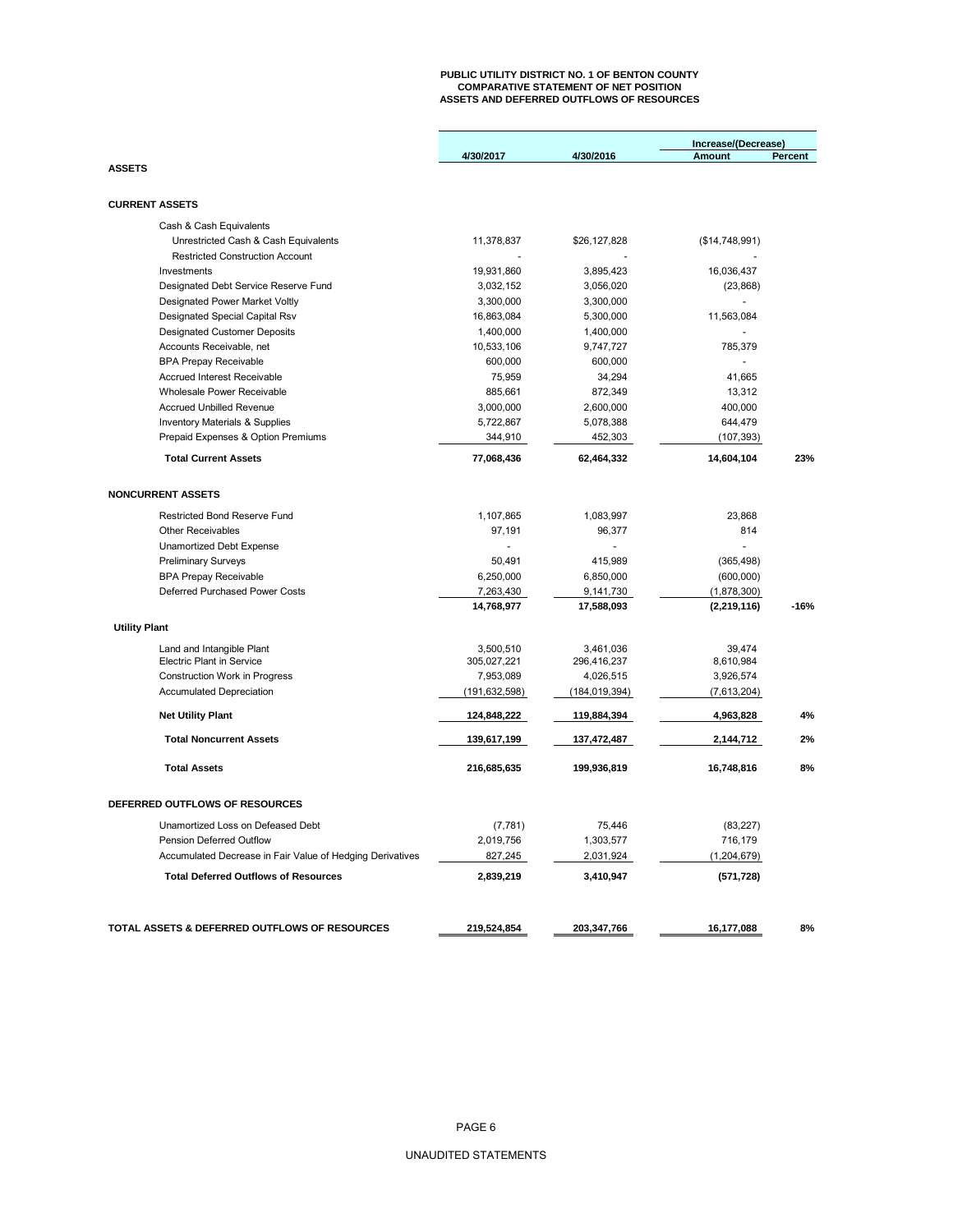## **PUBLIC UTILITY DISTRICT NO. 1 OF BENTON COUNTY COMPARATIVE STATEMENT OF NET POSITION ASSETS AND DEFERRED OUTFLOWS OF RESOURCES**

|                                                           |               |                 | Increase/(Decrease) |                |  |  |
|-----------------------------------------------------------|---------------|-----------------|---------------------|----------------|--|--|
|                                                           | 4/30/2017     | 4/30/2016       | <b>Amount</b>       | <b>Percent</b> |  |  |
| <b>ASSETS</b>                                             |               |                 |                     |                |  |  |
|                                                           |               |                 |                     |                |  |  |
| <b>CURRENT ASSETS</b>                                     |               |                 |                     |                |  |  |
| Cash & Cash Equivalents                                   |               |                 |                     |                |  |  |
| Unrestricted Cash & Cash Equivalents                      | 11,378,837    | \$26,127,828    | (\$14,748,991)      |                |  |  |
| <b>Restricted Construction Account</b>                    |               |                 |                     |                |  |  |
| Investments                                               | 19,931,860    | 3,895,423       | 16,036,437          |                |  |  |
| Designated Debt Service Reserve Fund                      | 3,032,152     | 3,056,020       | (23, 868)           |                |  |  |
| Designated Power Market Voltly                            | 3,300,000     | 3,300,000       | $\overline{a}$      |                |  |  |
| Designated Special Capital Rsv                            | 16,863,084    | 5,300,000       | 11,563,084          |                |  |  |
| <b>Designated Customer Deposits</b>                       | 1,400,000     | 1,400,000       |                     |                |  |  |
| Accounts Receivable, net                                  | 10,533,106    | 9,747,727       | 785,379             |                |  |  |
| <b>BPA Prepay Receivable</b>                              | 600,000       | 600,000         |                     |                |  |  |
| Accrued Interest Receivable                               | 75,959        | 34,294          | 41,665              |                |  |  |
| Wholesale Power Receivable                                | 885,661       | 872,349         | 13,312              |                |  |  |
| <b>Accrued Unbilled Revenue</b>                           | 3,000,000     | 2,600,000       | 400,000             |                |  |  |
| <b>Inventory Materials &amp; Supplies</b>                 | 5,722,867     | 5,078,388       | 644,479             |                |  |  |
| Prepaid Expenses & Option Premiums                        | 344,910       | 452,303         | (107, 393)          |                |  |  |
| <b>Total Current Assets</b>                               | 77,068,436    | 62,464,332      | 14,604,104          | 23%            |  |  |
| <b>NONCURRENT ASSETS</b>                                  |               |                 |                     |                |  |  |
|                                                           |               |                 |                     |                |  |  |
| <b>Restricted Bond Reserve Fund</b>                       | 1,107,865     | 1,083,997       | 23,868              |                |  |  |
| <b>Other Receivables</b>                                  | 97,191        | 96,377          | 814                 |                |  |  |
| Unamortized Debt Expense                                  |               |                 | $\overline{a}$      |                |  |  |
| <b>Preliminary Surveys</b>                                | 50.491        | 415,989         | (365, 498)          |                |  |  |
| <b>BPA Prepay Receivable</b>                              | 6,250,000     | 6,850,000       | (600,000)           |                |  |  |
| Deferred Purchased Power Costs                            | 7,263,430     | 9,141,730       | (1,878,300)         |                |  |  |
|                                                           | 14,768,977    | 17,588,093      | (2, 219, 116)       | $-16%$         |  |  |
| <b>Utility Plant</b>                                      |               |                 |                     |                |  |  |
| Land and Intangible Plant                                 | 3,500,510     | 3,461,036       | 39,474              |                |  |  |
| <b>Electric Plant in Service</b>                          | 305,027,221   | 296,416,237     | 8,610,984           |                |  |  |
| Construction Work in Progress                             | 7,953,089     | 4,026,515       | 3,926,574           |                |  |  |
| <b>Accumulated Depreciation</b>                           | (191,632,598) | (184, 019, 394) | (7,613,204)         |                |  |  |
| <b>Net Utility Plant</b>                                  | 124,848,222   | 119,884,394     | 4,963,828           | 4%             |  |  |
| <b>Total Noncurrent Assets</b>                            | 139,617,199   | 137,472,487     | 2,144,712           | 2%             |  |  |
| <b>Total Assets</b>                                       | 216,685,635   | 199,936,819     | 16,748,816          | 8%             |  |  |
|                                                           |               |                 |                     |                |  |  |
| DEFERRED OUTFLOWS OF RESOURCES                            |               |                 |                     |                |  |  |
| Unamortized Loss on Defeased Debt                         | (7, 781)      | 75,446          | (83, 227)           |                |  |  |
| Pension Deferred Outflow                                  | 2,019,756     | 1,303,577       | 716,179             |                |  |  |
| Accumulated Decrease in Fair Value of Hedging Derivatives | 827,245       | 2,031,924       | (1,204,679)         |                |  |  |
| <b>Total Deferred Outflows of Resources</b>               | 2,839,219     | 3,410,947       | (571, 728)          |                |  |  |
|                                                           |               |                 |                     |                |  |  |
|                                                           |               |                 |                     |                |  |  |
| TOTAL ASSETS & DEFERRED OUTFLOWS OF RESOURCES             | 219,524,854   | 203,347,766     | 16,177,088          | 8%             |  |  |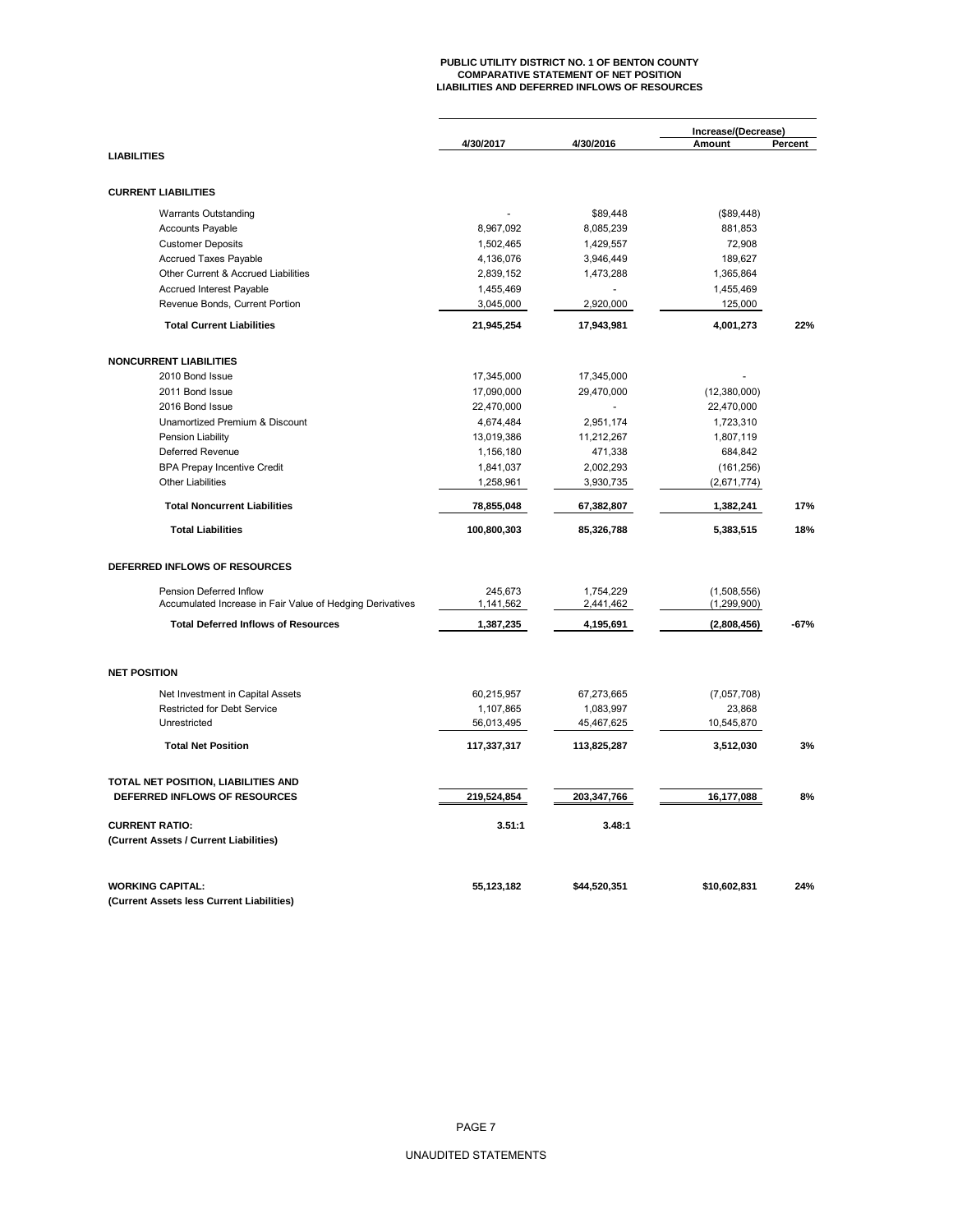# **PUBLIC UTILITY DISTRICT NO. 1 OF BENTON COUNTY COMPARATIVE STATEMENT OF NET POSITION LIABILITIES AND DEFERRED INFLOWS OF RESOURCES**

|                                                           |             |              | Increase/(Decrease) |         |  |
|-----------------------------------------------------------|-------------|--------------|---------------------|---------|--|
| <b>LIABILITIES</b>                                        | 4/30/2017   | 4/30/2016    | Amount              | Percent |  |
|                                                           |             |              |                     |         |  |
| <b>CURRENT LIABILITIES</b>                                |             |              |                     |         |  |
| <b>Warrants Outstanding</b>                               |             | \$89,448     | (\$89,448)          |         |  |
| <b>Accounts Payable</b>                                   | 8,967,092   | 8,085,239    | 881,853             |         |  |
| <b>Customer Deposits</b>                                  | 1,502,465   | 1,429,557    | 72,908              |         |  |
| <b>Accrued Taxes Payable</b>                              | 4,136,076   | 3,946,449    | 189,627             |         |  |
| Other Current & Accrued Liabilities                       | 2,839,152   | 1,473,288    | 1,365,864           |         |  |
| Accrued Interest Payable                                  | 1,455,469   |              | 1,455,469           |         |  |
| Revenue Bonds, Current Portion                            | 3,045,000   | 2,920,000    | 125,000             |         |  |
| <b>Total Current Liabilities</b>                          | 21,945,254  | 17,943,981   | 4,001,273           | 22%     |  |
| <b>NONCURRENT LIABILITIES</b>                             |             |              |                     |         |  |
| 2010 Bond Issue                                           | 17,345,000  | 17,345,000   |                     |         |  |
| 2011 Bond Issue                                           | 17,090,000  | 29,470,000   | (12,380,000)        |         |  |
| 2016 Bond Issue                                           | 22,470,000  |              | 22,470,000          |         |  |
| Unamortized Premium & Discount                            | 4,674,484   | 2,951,174    | 1,723,310           |         |  |
| Pension Liability                                         | 13,019,386  | 11,212,267   | 1,807,119           |         |  |
| Deferred Revenue                                          |             |              |                     |         |  |
|                                                           | 1,156,180   | 471,338      | 684,842             |         |  |
| <b>BPA Prepay Incentive Credit</b>                        | 1,841,037   | 2,002,293    | (161, 256)          |         |  |
| <b>Other Liabilities</b>                                  | 1,258,961   | 3,930,735    | (2,671,774)         |         |  |
| <b>Total Noncurrent Liabilities</b>                       | 78,855,048  | 67,382,807   | 1,382,241           | 17%     |  |
| <b>Total Liabilities</b>                                  | 100,800,303 | 85,326,788   | 5,383,515           | 18%     |  |
| DEFERRED INFLOWS OF RESOURCES                             |             |              |                     |         |  |
| Pension Deferred Inflow                                   | 245.673     | 1,754,229    | (1,508,556)         |         |  |
| Accumulated Increase in Fair Value of Hedging Derivatives | 1,141,562   | 2,441,462    | (1, 299, 900)       |         |  |
| <b>Total Deferred Inflows of Resources</b>                | 1,387,235   | 4,195,691    | (2,808,456)         | $-67%$  |  |
| <b>NET POSITION</b>                                       |             |              |                     |         |  |
|                                                           |             |              |                     |         |  |
| Net Investment in Capital Assets                          | 60,215,957  | 67,273,665   | (7,057,708)         |         |  |
| Restricted for Debt Service                               | 1,107,865   | 1,083,997    | 23,868              |         |  |
| Unrestricted                                              | 56,013,495  | 45,467,625   | 10,545,870          |         |  |
| <b>Total Net Position</b>                                 | 117,337,317 | 113,825,287  | 3,512,030           | 3%      |  |
| TOTAL NET POSITION, LIABILITIES AND                       |             |              |                     |         |  |
| DEFERRED INFLOWS OF RESOURCES                             | 219,524,854 | 203,347,766  | 16,177,088          | 8%      |  |
| <b>CURRENT RATIO:</b>                                     | 3.51:1      | 3.48:1       |                     |         |  |
| (Current Assets / Current Liabilities)                    |             |              |                     |         |  |
| <b>WORKING CAPITAL:</b>                                   | 55,123,182  | \$44,520,351 | \$10,602,831        | 24%     |  |
| (Current Assets less Current Liabilities)                 |             |              |                     |         |  |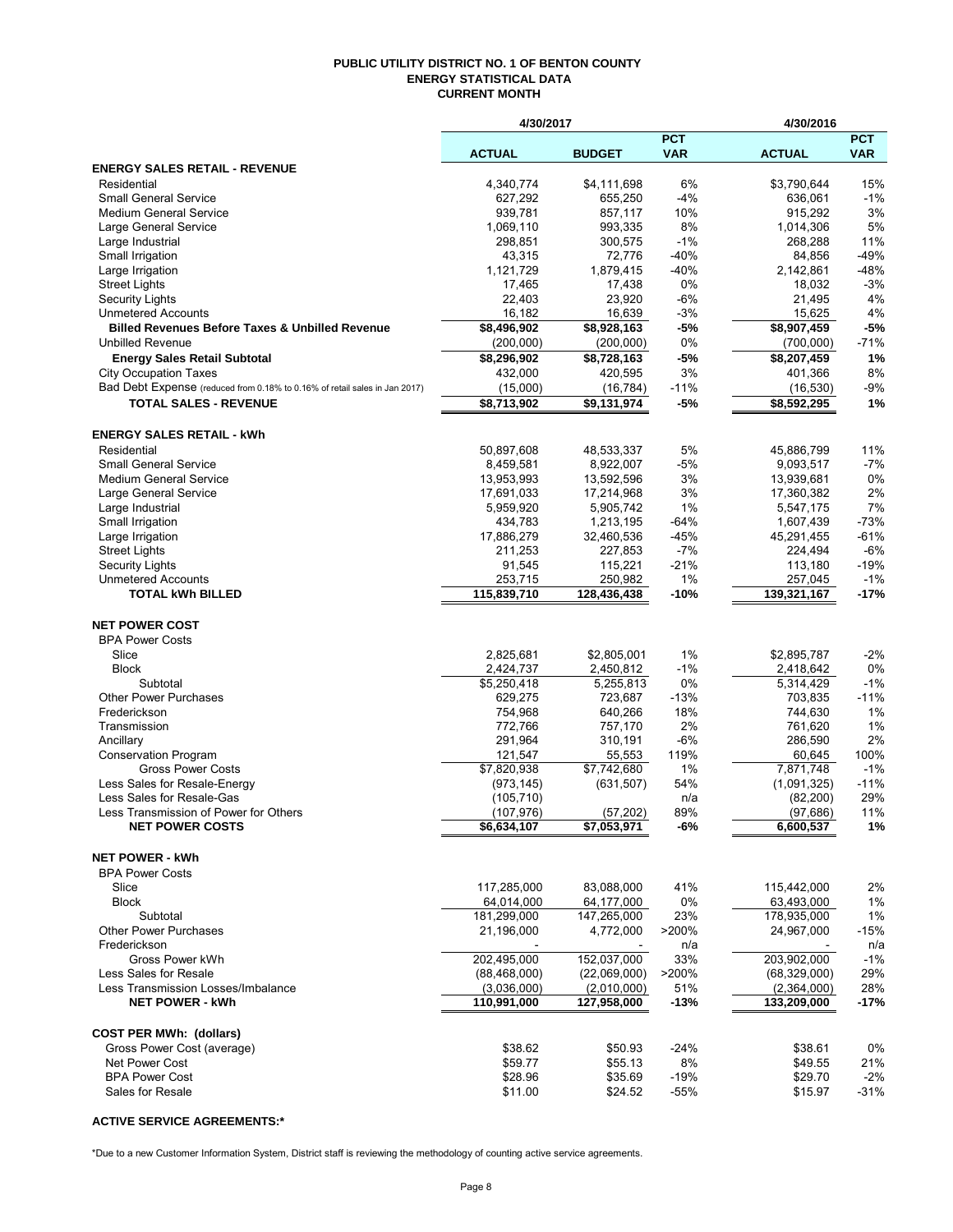#### **PUBLIC UTILITY DISTRICT NO. 1 OF BENTON COUNTY ENERGY STATISTICAL DATA CURRENT MONTH**

|                                                                            | 4/30/2017                 |                          |               | 4/30/2016                |               |
|----------------------------------------------------------------------------|---------------------------|--------------------------|---------------|--------------------------|---------------|
|                                                                            |                           |                          | <b>PCT</b>    |                          | <b>PCT</b>    |
|                                                                            | <b>ACTUAL</b>             | <b>BUDGET</b>            | <b>VAR</b>    | <b>ACTUAL</b>            | <b>VAR</b>    |
| <b>ENERGY SALES RETAIL - REVENUE</b>                                       |                           |                          |               |                          |               |
| Residential<br><b>Small General Service</b>                                | 4,340,774<br>627,292      | \$4,111,698<br>655,250   | 6%<br>$-4%$   | \$3,790,644<br>636,061   | 15%<br>$-1%$  |
| <b>Medium General Service</b>                                              | 939,781                   | 857,117                  | 10%           | 915,292                  | 3%            |
| Large General Service                                                      | 1,069,110                 | 993,335                  | 8%            | 1,014,306                | 5%            |
| Large Industrial                                                           | 298,851                   | 300,575                  | $-1%$         | 268,288                  | 11%           |
| Small Irrigation                                                           | 43,315                    | 72,776                   | $-40%$        | 84,856                   | $-49%$        |
| Large Irrigation                                                           | 1,121,729                 | 1,879,415                | $-40%$        | 2,142,861                | -48%          |
| <b>Street Lights</b>                                                       | 17,465                    | 17,438                   | 0%            | 18,032                   | $-3%$         |
| <b>Security Lights</b>                                                     | 22,403                    | 23,920                   | -6%           | 21,495                   | 4%            |
| <b>Unmetered Accounts</b>                                                  | 16,182                    | 16,639                   | $-3%$         | 15,625                   | 4%            |
| <b>Billed Revenues Before Taxes &amp; Unbilled Revenue</b>                 | \$8,496,902               | \$8,928,163              | -5%           | \$8,907,459              | $-5%$         |
| <b>Unbilled Revenue</b>                                                    | (200,000)                 | (200,000)                | 0%            | (700,000)                | $-71%$        |
| <b>Energy Sales Retail Subtotal</b>                                        | \$8,296,902               | \$8,728,163              | $-5%$         | \$8,207,459              | 1%            |
| <b>City Occupation Taxes</b>                                               | 432,000                   | 420,595                  | 3%            | 401,366                  | 8%            |
| Bad Debt Expense (reduced from 0.18% to 0.16% of retail sales in Jan 2017) | (15,000)                  | (16, 784)                | $-11%$        | (16, 530)                | $-9%$         |
| <b>TOTAL SALES - REVENUE</b>                                               | \$8,713,902               | $\overline{39,}131,974$  | $-5%$         | \$8,592,295              | 1%            |
|                                                                            |                           |                          |               |                          |               |
| <b>ENERGY SALES RETAIL - kWh</b>                                           |                           |                          |               |                          |               |
| Residential                                                                | 50.897.608                | 48,533,337               | 5%            | 45.886.799               | 11%           |
| <b>Small General Service</b><br><b>Medium General Service</b>              | 8,459,581                 | 8,922,007                | $-5%$<br>3%   | 9,093,517                | $-7%$<br>0%   |
| Large General Service                                                      | 13,953,993<br>17,691,033  | 13,592,596<br>17,214,968 | 3%            | 13,939,681<br>17,360,382 | 2%            |
| Large Industrial                                                           | 5,959,920                 | 5,905,742                | 1%            | 5,547,175                | 7%            |
| Small Irrigation                                                           | 434,783                   | 1,213,195                | -64%          | 1,607,439                | $-73%$        |
| Large Irrigation                                                           | 17,886,279                | 32,460,536               | $-45%$        | 45,291,455               | $-61%$        |
| <b>Street Lights</b>                                                       | 211,253                   | 227,853                  | $-7%$         | 224,494                  | $-6%$         |
| <b>Security Lights</b>                                                     | 91,545                    | 115,221                  | $-21%$        | 113,180                  | $-19%$        |
| <b>Unmetered Accounts</b>                                                  | 253,715                   | 250,982                  | 1%            | 257,045                  | $-1%$         |
| <b>TOTAL kWh BILLED</b>                                                    | 115,839,710               | 128,436,438              | -10%          | 139,321,167              | $-17%$        |
|                                                                            |                           |                          |               |                          |               |
| <b>NET POWER COST</b>                                                      |                           |                          |               |                          |               |
| <b>BPA Power Costs</b>                                                     |                           |                          |               |                          |               |
| Slice                                                                      | 2,825,681                 | \$2,805,001              | 1%            | \$2,895,787              | $-2%$         |
| <b>Block</b>                                                               | 2,424,737                 | 2,450,812                | $-1%$         | 2,418,642                | 0%            |
| Subtotal                                                                   | \$5,250,418               | 5,255,813                | 0%            | 5,314,429                | $-1%$         |
| <b>Other Power Purchases</b><br>Frederickson                               | 629,275                   | 723,687                  | $-13%$<br>18% | 703,835                  | $-11%$<br>1%  |
| Transmission                                                               | 754,968<br>772,766        | 640,266<br>757,170       | 2%            | 744,630<br>761,620       | 1%            |
| Ancillary                                                                  | 291,964                   | 310,191                  | $-6%$         | 286,590                  | 2%            |
| <b>Conservation Program</b>                                                | 121,547                   | 55,553                   | 119%          | 60,645                   | 100%          |
| <b>Gross Power Costs</b>                                                   | $\overline{$7,820,938}$   | \$7,742,680              | 1%            | 7,871,748                | $-1%$         |
| Less Sales for Resale-Energy                                               | (973, 145)                | (631, 507)               | 54%           | (1,091,325)              | $-11%$        |
| Less Sales for Resale-Gas                                                  | (105, 710)                |                          | n/a           | (82, 200)                | 29%           |
| Less Transmission of Power for Others                                      | (107, 976)                | (57, 202)                | 89%           | (97, 686)                | 11%           |
| <b>NET POWER COSTS</b>                                                     | \$6,634,107               | \$7,053,971              | $-6%$         | 6,600,537                | 1%            |
|                                                                            |                           |                          |               |                          |               |
| <b>NET POWER - kWh</b>                                                     |                           |                          |               |                          |               |
| <b>BPA Power Costs</b>                                                     |                           |                          |               |                          |               |
| Slice                                                                      | 117,285,000               | 83,088,000               | 41%           | 115,442,000              | 2%            |
| <b>Block</b>                                                               | 64,014,000                | 64,177,000               | 0%            | 63,493,000               | 1%            |
| Subtotal<br><b>Other Power Purchases</b>                                   | 181.299.000<br>21,196,000 | 147,265,000<br>4,772,000 | 23%           | 178,935,000              | 1%            |
| Frederickson                                                               |                           |                          | >200%         | 24,967,000               | $-15%$<br>n/a |
| Gross Power kWh                                                            | 202,495,000               | 152,037,000              | n/a<br>33%    | 203,902,000              | $-1%$         |
| Less Sales for Resale                                                      | (88, 468, 000)            | (22,069,000)             | >200%         | (68, 329, 000)           | 29%           |
| Less Transmission Losses/Imbalance                                         | (3,036,000)               | (2,010,000)              | 51%           | (2,364,000)              | 28%           |
| <b>NET POWER - kWh</b>                                                     | 110,991,000               | 127,958,000              | $-13%$        | 133,209,000              | -17%          |
|                                                                            |                           |                          |               |                          |               |
| <b>COST PER MWh: (dollars)</b>                                             |                           |                          |               |                          |               |
| Gross Power Cost (average)                                                 | \$38.62                   | \$50.93                  | $-24%$        | \$38.61                  | 0%            |
| Net Power Cost                                                             | \$59.77                   | \$55.13                  | 8%            | \$49.55                  | 21%           |
| <b>BPA Power Cost</b>                                                      | \$28.96                   | \$35.69                  | $-19%$        | \$29.70                  | $-2\%$        |
| Sales for Resale                                                           | \$11.00                   | \$24.52                  | $-55%$        | \$15.97                  | $-31%$        |
|                                                                            |                           |                          |               |                          |               |

## **ACTIVE SERVICE AGREEMENTS:\***

\*Due to a new Customer Information System, District staff is reviewing the methodology of counting active service agreements.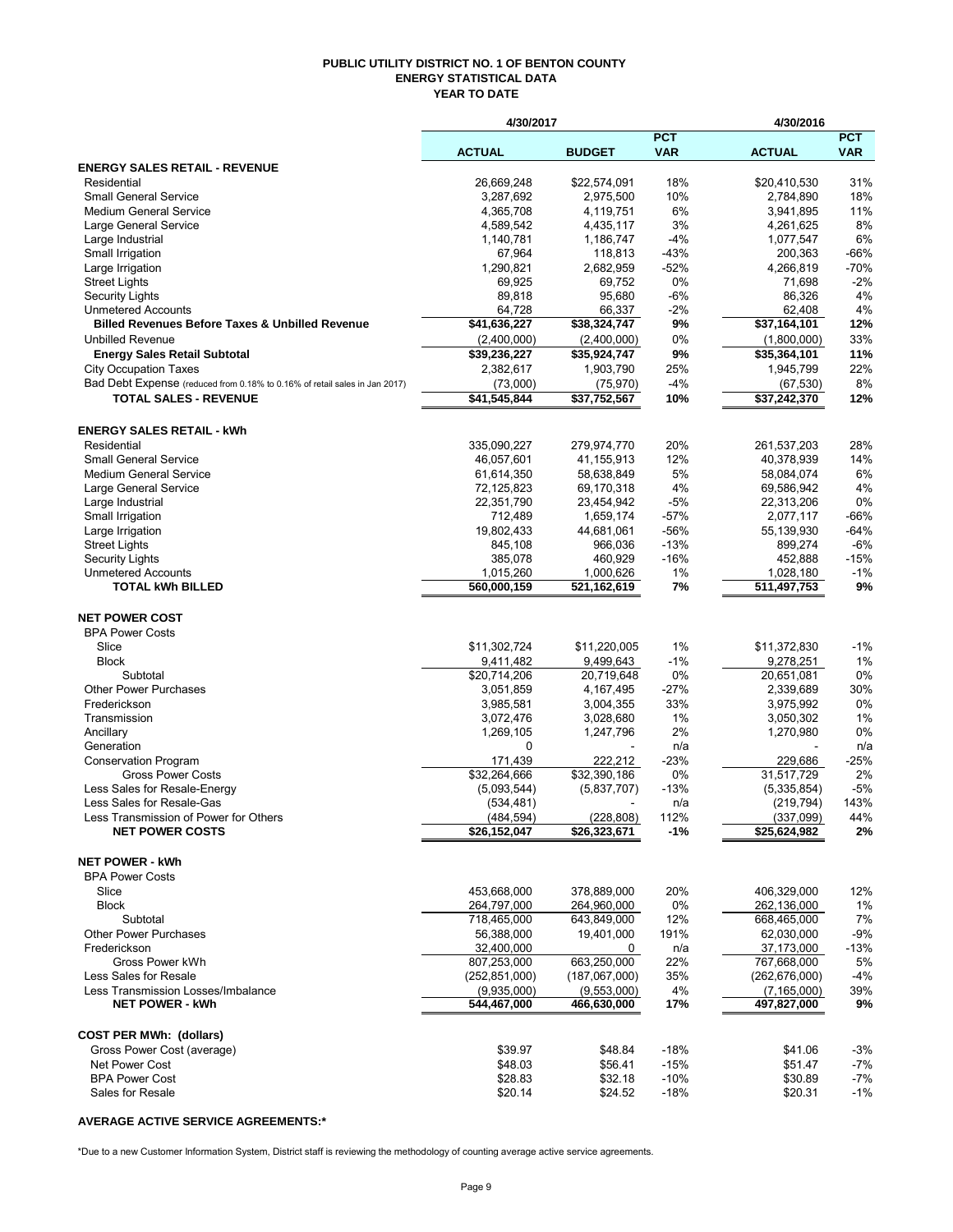#### **PUBLIC UTILITY DISTRICT NO. 1 OF BENTON COUNTY ENERGY STATISTICAL DATA YEAR TO DATE**

|                                                                            | 4/30/2017                   |                             |                          | 4/30/2016                 |                   |
|----------------------------------------------------------------------------|-----------------------------|-----------------------------|--------------------------|---------------------------|-------------------|
|                                                                            | <b>ACTUAL</b>               | <b>BUDGET</b>               | <b>PCT</b><br><b>VAR</b> | <b>ACTUAL</b>             | <b>PCT</b><br>VAR |
| <b>ENERGY SALES RETAIL - REVENUE</b>                                       |                             |                             |                          |                           |                   |
| Residential                                                                | 26,669,248                  | \$22,574,091                | 18%                      | \$20,410,530              | 31%               |
| <b>Small General Service</b>                                               | 3,287,692                   | 2,975,500                   | 10%                      | 2,784,890                 | 18%               |
| <b>Medium General Service</b>                                              | 4,365,708<br>4,589,542      | 4,119,751                   | 6%<br>3%                 | 3,941,895                 | 11%<br>8%         |
| Large General Service<br>Large Industrial                                  | 1,140,781                   | 4,435,117<br>1,186,747      | $-4%$                    | 4,261,625<br>1,077,547    | 6%                |
| Small Irrigation                                                           | 67,964                      | 118,813                     | $-43%$                   | 200,363                   | $-66%$            |
| Large Irrigation                                                           | 1,290,821                   | 2,682,959                   | $-52%$                   | 4,266,819                 | $-70%$            |
| <b>Street Lights</b>                                                       | 69,925                      | 69,752                      | 0%                       | 71,698                    | $-2%$             |
| <b>Security Lights</b>                                                     | 89,818                      | 95,680                      | -6%                      | 86,326                    | 4%                |
| <b>Unmetered Accounts</b>                                                  | 64,728                      | 66,337                      | $-2\%$                   | 62,408                    | 4%                |
| <b>Billed Revenues Before Taxes &amp; Unbilled Revenue</b>                 | \$41,636,227                | \$38,324,747                | 9%                       | \$37,164,101              | 12%               |
| <b>Unbilled Revenue</b>                                                    | (2,400,000)                 | (2,400,000)                 | $0\%$                    | (1,800,000)               | 33%               |
| <b>Energy Sales Retail Subtotal</b>                                        | \$39,236,227                | \$35,924,747                | 9%                       | \$35,364,101              | 11%               |
| <b>City Occupation Taxes</b>                                               | 2,382,617                   | 1,903,790                   | 25%                      | 1,945,799                 | 22%               |
| Bad Debt Expense (reduced from 0.18% to 0.16% of retail sales in Jan 2017) | (73,000)                    | (75, 970)                   | $-4%$                    | (67, 530)                 | 8%                |
| <b>TOTAL SALES - REVENUE</b>                                               | \$41,545,844                | \$37,752,567                | 10%                      | \$37,242,370              | 12%               |
| <b>ENERGY SALES RETAIL - kWh</b>                                           |                             |                             |                          |                           |                   |
| Residential                                                                | 335,090,227                 | 279,974,770                 | 20%                      | 261,537,203               | 28%               |
| <b>Small General Service</b>                                               | 46,057,601                  | 41,155,913                  | 12%                      | 40,378,939                | 14%               |
| <b>Medium General Service</b>                                              | 61,614,350                  | 58,638,849                  | 5%                       | 58,084,074                | 6%                |
| Large General Service                                                      | 72,125,823                  | 69,170,318                  | 4%                       | 69,586,942                | 4%                |
| Large Industrial                                                           | 22,351,790                  | 23,454,942                  | $-5%$                    | 22,313,206                | 0%                |
| Small Irrigation<br>Large Irrigation                                       | 712,489<br>19,802,433       | 1,659,174<br>44,681,061     | $-57%$<br>$-56%$         | 2,077,117                 | $-66%$<br>$-64%$  |
| <b>Street Lights</b>                                                       | 845,108                     | 966,036                     | $-13%$                   | 55,139,930<br>899,274     | $-6%$             |
| <b>Security Lights</b>                                                     | 385,078                     | 460,929                     | $-16%$                   | 452,888                   | $-15%$            |
| <b>Unmetered Accounts</b>                                                  | 1,015,260                   | 1,000,626                   | 1%                       | 1,028,180                 | $-1%$             |
| <b>TOTAL kWh BILLED</b>                                                    | 560,000,159                 | 521,162,619                 | 7%                       | 511,497,753               | 9%                |
| <b>NET POWER COST</b>                                                      |                             |                             |                          |                           |                   |
| <b>BPA Power Costs</b>                                                     |                             |                             |                          |                           |                   |
| Slice                                                                      | \$11,302,724                | \$11,220,005                | $1\%$                    | \$11,372,830              | $-1%$             |
| <b>Block</b>                                                               | 9,411,482                   | 9,499,643                   | $-1%$                    | 9,278,251                 | 1%                |
| Subtotal                                                                   | \$20,714,206                | 20,719,648                  | 0%                       | 20,651,081                | 0%                |
| <b>Other Power Purchases</b>                                               | 3,051,859                   | 4,167,495                   | $-27%$                   | 2,339,689                 | 30%               |
| Frederickson                                                               | 3,985,581                   | 3,004,355                   | 33%                      | 3,975,992                 | 0%                |
| Transmission                                                               | 3,072,476                   | 3,028,680                   | 1%                       | 3,050,302                 | 1%                |
| Ancillary                                                                  | 1,269,105                   | 1,247,796                   | 2%                       | 1,270,980                 | 0%                |
| Generation                                                                 | 0                           |                             | n/a                      |                           | n/a               |
| <b>Conservation Program</b>                                                | 171,439                     | 222,212                     | -23%                     | 229,686                   | $-25%$            |
| <b>Gross Power Costs</b><br>Less Sales for Resale-Energy                   | \$32,264,666<br>(5,093,544) | \$32,390,186<br>(5,837,707) | 0%<br>$-13%$             | 31,517,729<br>(5,335,854) | 2%<br>-5%         |
| Less Sales for Resale-Gas                                                  | (534, 481)                  |                             | n/a                      | (219, 794)                | 143%              |
| Less Transmission of Power for Others                                      | (484,594)                   | (228, 808)                  | 112%                     | (337,099)                 | 44%               |
| <b>NET POWER COSTS</b>                                                     | \$26,152,047                | \$26,323,671                | -1%                      | \$25,624,982              | 2%                |
| <b>NET POWER - kWh</b>                                                     |                             |                             |                          |                           |                   |
| <b>BPA Power Costs</b>                                                     |                             |                             |                          |                           |                   |
| Slice                                                                      | 453,668,000                 | 378,889,000                 | 20%                      | 406,329,000               | 12%               |
| <b>Block</b>                                                               | 264,797,000                 | 264,960,000                 | 0%                       | 262,136,000               | 1%                |
| Subtotal                                                                   | 718,465,000                 | 643,849,000                 | 12%                      | 668,465,000               | 7%                |
| Other Power Purchases                                                      | 56,388,000                  | 19,401,000                  | 191%                     | 62,030,000                | $-9%$             |
| Frederickson                                                               | 32,400,000                  | 0                           | n/a                      | 37,173,000                | $-13%$            |
| Gross Power kWh                                                            | 807,253,000                 | 663,250,000                 | 22%                      | 767,668,000               | 5%                |
| Less Sales for Resale                                                      | (252, 851, 000)             | (187,067,000)               | 35%                      | (262, 676, 000)           | -4%               |
| Less Transmission Losses/Imbalance                                         | (9,935,000)                 | (9,553,000)                 | 4%                       | (7, 165, 000)             | 39%               |
| <b>NET POWER - kWh</b>                                                     | 544,467,000                 | 466,630,000                 | 17%                      | 497,827,000               | 9%                |
| <b>COST PER MWh: (dollars)</b>                                             |                             |                             |                          |                           |                   |
| Gross Power Cost (average)                                                 | \$39.97                     | \$48.84                     | $-18%$                   | \$41.06                   | $-3%$             |
| <b>Net Power Cost</b>                                                      | \$48.03                     | \$56.41                     | $-15%$                   | \$51.47                   | -7%               |
| <b>BPA Power Cost</b>                                                      | \$28.83                     | \$32.18                     | $-10%$                   | \$30.89                   | -7%               |
| Sales for Resale                                                           | \$20.14                     | \$24.52                     | $-18%$                   | \$20.31                   | -1%               |

## **AVERAGE ACTIVE SERVICE AGREEMENTS:\***

\*Due to a new Customer Information System, District staff is reviewing the methodology of counting average active service agreements.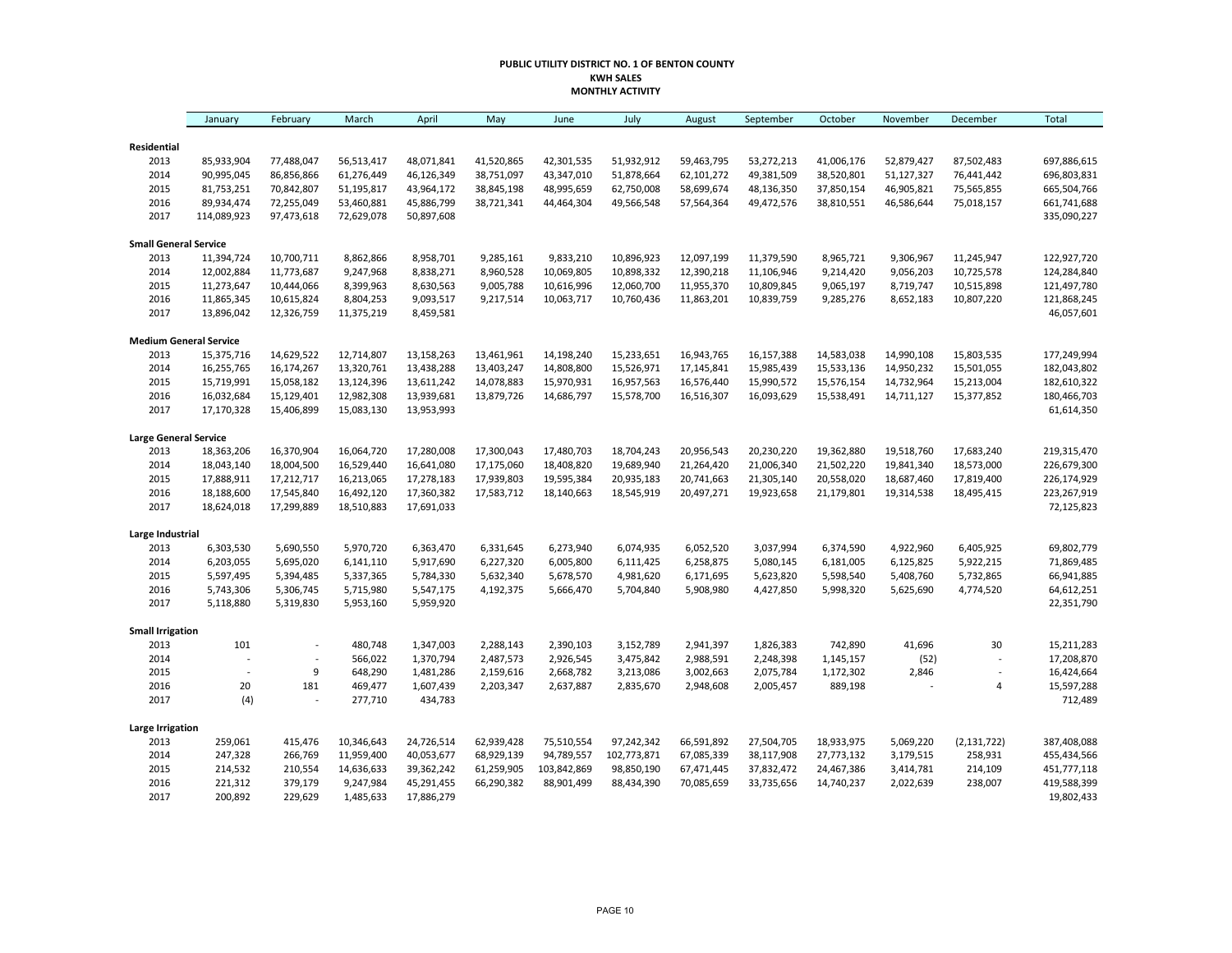#### **PUBLIC UTILITY DISTRICT NO. 1 OF BENTON COUNTY KWH SALES MONTHLY ACTIVITY**

|                               | January     | February       | March      | April      | May        | June        | July        | August     | September  | October    | November   | December                 | Total       |
|-------------------------------|-------------|----------------|------------|------------|------------|-------------|-------------|------------|------------|------------|------------|--------------------------|-------------|
| Residential                   |             |                |            |            |            |             |             |            |            |            |            |                          |             |
| 2013                          | 85,933,904  | 77,488,047     | 56,513,417 | 48,071,841 | 41,520,865 | 42,301,535  | 51,932,912  | 59,463,795 | 53,272,213 | 41,006,176 | 52,879,427 | 87,502,483               | 697,886,615 |
| 2014                          | 90,995,045  | 86,856,866     | 61,276,449 | 46,126,349 | 38,751,097 | 43,347,010  | 51,878,664  | 62,101,272 | 49,381,509 | 38,520,801 | 51,127,327 | 76,441,442               | 696,803,831 |
| 2015                          | 81,753,251  | 70,842,807     | 51,195,817 | 43,964,172 | 38,845,198 | 48,995,659  | 62,750,008  | 58,699,674 | 48,136,350 | 37,850,154 | 46,905,821 | 75,565,855               | 665,504,766 |
| 2016                          | 89,934,474  | 72,255,049     | 53,460,881 | 45,886,799 | 38,721,341 | 44,464,304  | 49,566,548  | 57,564,364 | 49,472,576 | 38,810,551 | 46,586,644 | 75,018,157               | 661,741,688 |
| 2017                          | 114,089,923 | 97,473,618     | 72,629,078 | 50,897,608 |            |             |             |            |            |            |            |                          | 335,090,227 |
| <b>Small General Service</b>  |             |                |            |            |            |             |             |            |            |            |            |                          |             |
| 2013                          | 11,394,724  | 10,700,711     | 8,862,866  | 8,958,701  | 9,285,161  | 9,833,210   | 10,896,923  | 12,097,199 | 11,379,590 | 8,965,721  | 9,306,967  | 11,245,947               | 122,927,720 |
| 2014                          | 12,002,884  | 11,773,687     | 9,247,968  | 8,838,271  | 8,960,528  | 10,069,805  | 10,898,332  | 12,390,218 | 11,106,946 | 9,214,420  | 9,056,203  | 10,725,578               | 124,284,840 |
| 2015                          | 11,273,647  | 10,444,066     | 8,399,963  | 8,630,563  | 9,005,788  | 10,616,996  | 12,060,700  | 11,955,370 | 10,809,845 | 9,065,197  | 8,719,747  | 10,515,898               | 121,497,780 |
| 2016                          | 11,865,345  | 10,615,824     | 8,804,253  | 9,093,517  | 9,217,514  | 10,063,717  | 10,760,436  | 11,863,201 | 10,839,759 | 9,285,276  | 8,652,183  | 10,807,220               | 121,868,245 |
| 2017                          | 13,896,042  | 12,326,759     | 11,375,219 | 8,459,581  |            |             |             |            |            |            |            |                          | 46,057,601  |
| <b>Medium General Service</b> |             |                |            |            |            |             |             |            |            |            |            |                          |             |
| 2013                          | 15,375,716  | 14,629,522     | 12,714,807 | 13,158,263 | 13,461,961 | 14,198,240  | 15,233,651  | 16,943,765 | 16,157,388 | 14,583,038 | 14,990,108 | 15,803,535               | 177,249,994 |
| 2014                          | 16,255,765  | 16,174,267     | 13,320,761 | 13,438,288 | 13,403,247 | 14,808,800  | 15,526,971  | 17,145,841 | 15,985,439 | 15,533,136 | 14,950,232 | 15,501,055               | 182,043,802 |
| 2015                          | 15,719,991  | 15,058,182     | 13,124,396 | 13,611,242 | 14,078,883 | 15,970,931  | 16,957,563  | 16,576,440 | 15,990,572 | 15,576,154 | 14,732,964 | 15,213,004               | 182,610,322 |
| 2016                          | 16,032,684  | 15,129,401     | 12,982,308 | 13,939,681 | 13,879,726 | 14,686,797  | 15,578,700  | 16,516,307 | 16,093,629 | 15,538,491 | 14,711,127 | 15,377,852               | 180,466,703 |
| 2017                          | 17,170,328  | 15,406,899     | 15,083,130 | 13,953,993 |            |             |             |            |            |            |            |                          | 61,614,350  |
| <b>Large General Service</b>  |             |                |            |            |            |             |             |            |            |            |            |                          |             |
| 2013                          | 18,363,206  | 16,370,904     | 16,064,720 | 17,280,008 | 17,300,043 | 17,480,703  | 18,704,243  | 20,956,543 | 20,230,220 | 19,362,880 | 19,518,760 | 17,683,240               | 219,315,470 |
| 2014                          | 18,043,140  | 18,004,500     | 16,529,440 | 16,641,080 | 17,175,060 | 18,408,820  | 19,689,940  | 21,264,420 | 21,006,340 | 21,502,220 | 19,841,340 | 18,573,000               | 226,679,300 |
| 2015                          | 17,888,911  | 17,212,717     | 16,213,065 | 17,278,183 | 17,939,803 | 19,595,384  | 20,935,183  | 20,741,663 | 21,305,140 | 20,558,020 | 18,687,460 | 17,819,400               | 226,174,929 |
| 2016                          | 18,188,600  | 17,545,840     | 16,492,120 | 17,360,382 | 17,583,712 | 18,140,663  | 18,545,919  | 20,497,271 | 19,923,658 | 21,179,801 | 19,314,538 | 18,495,415               | 223,267,919 |
| 2017                          | 18,624,018  | 17,299,889     | 18,510,883 | 17,691,033 |            |             |             |            |            |            |            |                          | 72,125,823  |
| Large Industrial              |             |                |            |            |            |             |             |            |            |            |            |                          |             |
| 2013                          | 6,303,530   | 5,690,550      | 5,970,720  | 6,363,470  | 6,331,645  | 6,273,940   | 6,074,935   | 6,052,520  | 3,037,994  | 6,374,590  | 4,922,960  | 6,405,925                | 69,802,779  |
| 2014                          | 6,203,055   | 5,695,020      | 6,141,110  | 5,917,690  | 6,227,320  | 6,005,800   | 6,111,425   | 6,258,875  | 5,080,145  | 6,181,005  | 6,125,825  | 5,922,215                | 71,869,485  |
| 2015                          | 5,597,495   | 5,394,485      | 5,337,365  | 5,784,330  | 5,632,340  | 5,678,570   | 4,981,620   | 6,171,695  | 5,623,820  | 5,598,540  | 5,408,760  | 5,732,865                | 66,941,885  |
| 2016                          | 5,743,306   | 5,306,745      | 5,715,980  | 5,547,175  | 4,192,375  | 5,666,470   | 5,704,840   | 5,908,980  | 4,427,850  | 5,998,320  | 5,625,690  | 4,774,520                | 64,612,251  |
| 2017                          | 5,118,880   | 5,319,830      | 5,953,160  | 5,959,920  |            |             |             |            |            |            |            |                          | 22,351,790  |
| <b>Small Irrigation</b>       |             |                |            |            |            |             |             |            |            |            |            |                          |             |
| 2013                          | 101         | $\overline{a}$ | 480,748    | 1,347,003  | 2,288,143  | 2,390,103   | 3,152,789   | 2,941,397  | 1,826,383  | 742,890    | 41,696     | 30                       | 15,211,283  |
| 2014                          |             |                | 566,022    | 1,370,794  | 2,487,573  | 2,926,545   | 3,475,842   | 2,988,591  | 2,248,398  | 1,145,157  | (52)       |                          | 17,208,870  |
| 2015                          | ÷           | 9              | 648,290    | 1,481,286  | 2,159,616  | 2,668,782   | 3,213,086   | 3,002,663  | 2,075,784  | 1,172,302  | 2,846      | $\overline{\phantom{a}}$ | 16,424,664  |
| 2016                          | 20          | 181            | 469,477    | 1,607,439  | 2,203,347  | 2,637,887   | 2,835,670   | 2,948,608  | 2,005,457  | 889,198    |            | $\sqrt{4}$               | 15,597,288  |
| 2017                          | (4)         | $\overline{a}$ | 277,710    | 434,783    |            |             |             |            |            |            |            |                          | 712,489     |
| <b>Large Irrigation</b>       |             |                |            |            |            |             |             |            |            |            |            |                          |             |
| 2013                          | 259,061     | 415,476        | 10,346,643 | 24,726,514 | 62,939,428 | 75,510,554  | 97,242,342  | 66,591,892 | 27,504,705 | 18,933,975 | 5,069,220  | (2, 131, 722)            | 387,408,088 |
| 2014                          | 247,328     | 266,769        | 11,959,400 | 40,053,677 | 68,929,139 | 94,789,557  | 102,773,871 | 67,085,339 | 38,117,908 | 27,773,132 | 3,179,515  | 258,931                  | 455,434,566 |
| 2015                          | 214,532     | 210,554        | 14,636,633 | 39,362,242 | 61,259,905 | 103,842,869 | 98,850,190  | 67,471,445 | 37,832,472 | 24,467,386 | 3,414,781  | 214,109                  | 451,777,118 |
| 2016                          | 221,312     | 379,179        | 9,247,984  | 45,291,455 | 66,290,382 | 88,901,499  | 88,434,390  | 70,085,659 | 33,735,656 | 14,740,237 | 2,022,639  | 238,007                  | 419,588,399 |
| 2017                          | 200,892     | 229,629        | 1,485,633  | 17,886,279 |            |             |             |            |            |            |            |                          | 19,802,433  |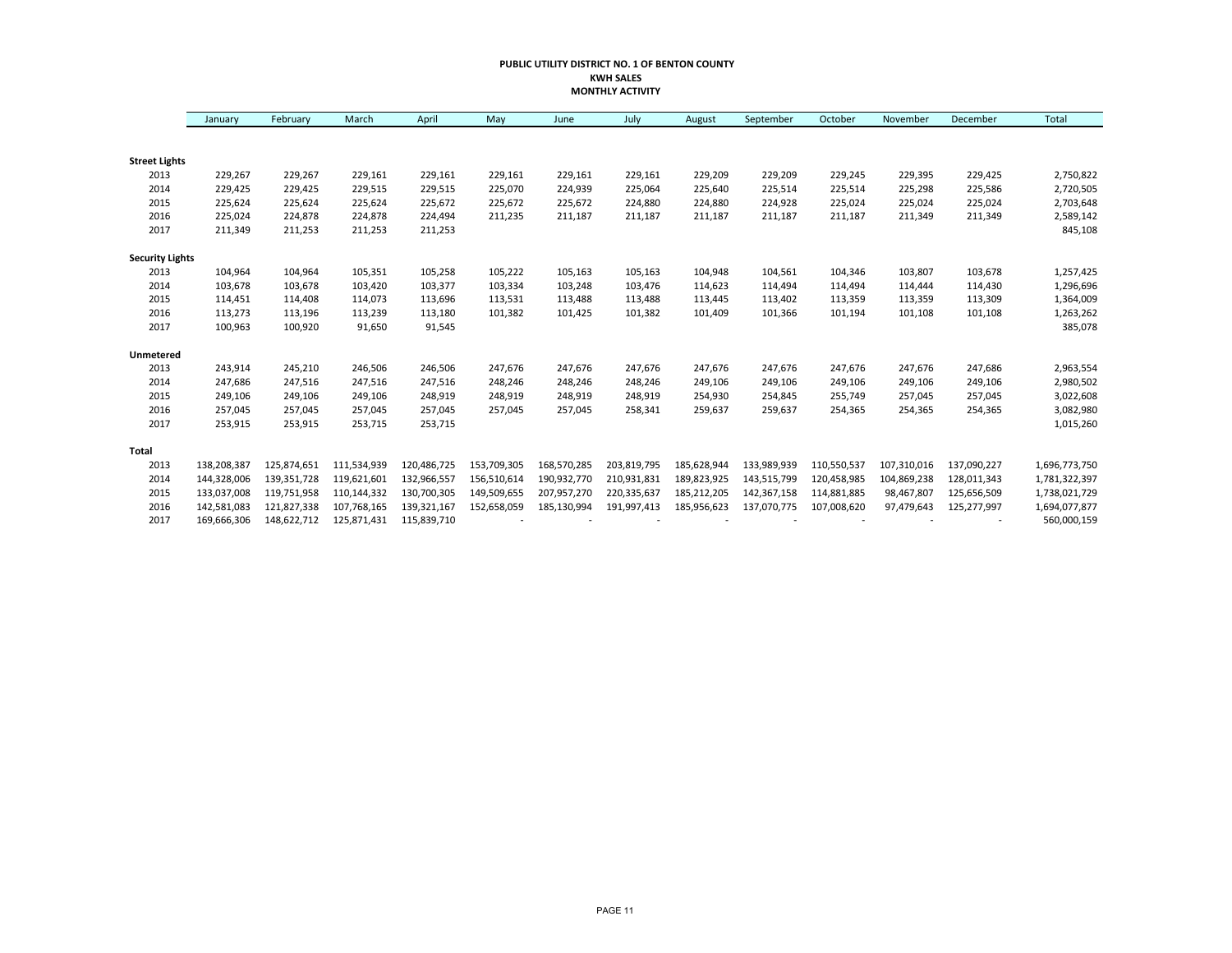#### **PUBLIC UTILITY DISTRICT NO. 1 OF BENTON COUNTY KWH SALES MONTHLY ACTIVITY**

|                        | January     | February    | March       | April       | May         | June        | July        | August      | September   | October     | November    | December    | Total         |
|------------------------|-------------|-------------|-------------|-------------|-------------|-------------|-------------|-------------|-------------|-------------|-------------|-------------|---------------|
|                        |             |             |             |             |             |             |             |             |             |             |             |             |               |
| <b>Street Lights</b>   |             |             |             |             |             |             |             |             |             |             |             |             |               |
| 2013                   | 229,267     | 229,267     | 229,161     | 229,161     | 229,161     | 229,161     | 229,161     | 229,209     | 229,209     | 229,245     | 229,395     | 229,425     | 2,750,822     |
| 2014                   | 229,425     | 229,425     | 229,515     | 229,515     | 225,070     | 224,939     | 225,064     | 225,640     | 225,514     | 225,514     | 225,298     | 225,586     | 2,720,505     |
| 2015                   | 225,624     | 225,624     | 225,624     | 225,672     | 225,672     | 225,672     | 224,880     | 224,880     | 224,928     | 225,024     | 225,024     | 225,024     | 2,703,648     |
| 2016                   | 225,024     | 224,878     | 224,878     | 224,494     | 211,235     | 211,187     | 211,187     | 211,187     | 211,187     | 211,187     | 211,349     | 211,349     | 2,589,142     |
| 2017                   | 211,349     | 211,253     | 211,253     | 211,253     |             |             |             |             |             |             |             |             | 845,108       |
| <b>Security Lights</b> |             |             |             |             |             |             |             |             |             |             |             |             |               |
| 2013                   | 104,964     | 104,964     | 105,351     | 105,258     | 105,222     | 105,163     | 105,163     | 104,948     | 104,561     | 104,346     | 103,807     | 103,678     | 1,257,425     |
| 2014                   | 103,678     | 103,678     | 103,420     | 103,377     | 103,334     | 103,248     | 103,476     | 114,623     | 114,494     | 114,494     | 114,444     | 114,430     | 1,296,696     |
| 2015                   | 114,451     | 114,408     | 114,073     | 113,696     | 113,531     | 113,488     | 113,488     | 113,445     | 113,402     | 113,359     | 113,359     | 113,309     | 1,364,009     |
| 2016                   | 113,273     | 113,196     | 113,239     | 113,180     | 101,382     | 101,425     | 101,382     | 101,409     | 101,366     | 101,194     | 101,108     | 101,108     | 1,263,262     |
| 2017                   | 100,963     | 100,920     | 91,650      | 91,545      |             |             |             |             |             |             |             |             | 385,078       |
| Unmetered              |             |             |             |             |             |             |             |             |             |             |             |             |               |
| 2013                   | 243,914     | 245,210     | 246,506     | 246,506     | 247,676     | 247,676     | 247,676     | 247,676     | 247,676     | 247,676     | 247,676     | 247,686     | 2,963,554     |
| 2014                   | 247,686     | 247,516     | 247,516     | 247,516     | 248,246     | 248,246     | 248,246     | 249,106     | 249,106     | 249,106     | 249,106     | 249,106     | 2,980,502     |
| 2015                   | 249,106     | 249,106     | 249,106     | 248,919     | 248,919     | 248,919     | 248,919     | 254,930     | 254,845     | 255,749     | 257,045     | 257,045     | 3,022,608     |
| 2016                   | 257,045     | 257,045     | 257,045     | 257,045     | 257,045     | 257.045     | 258,341     | 259,637     | 259,637     | 254,365     | 254,365     | 254,365     | 3,082,980     |
| 2017                   | 253,915     | 253,915     | 253,715     | 253,715     |             |             |             |             |             |             |             |             | 1,015,260     |
| <b>Total</b>           |             |             |             |             |             |             |             |             |             |             |             |             |               |
| 2013                   | 138,208,387 | 125,874,651 | 111,534,939 | 120,486,725 | 153,709,305 | 168,570,285 | 203,819,795 | 185,628,944 | 133,989,939 | 110,550,537 | 107,310,016 | 137,090,227 | 1,696,773,750 |
| 2014                   | 144,328,006 | 139,351,728 | 119,621,601 | 132,966,557 | 156,510,614 | 190,932,770 | 210,931,831 | 189,823,925 | 143,515,799 | 120,458,985 | 104,869,238 | 128,011,343 | 1,781,322,397 |
| 2015                   | 133,037,008 | 119,751,958 | 110,144,332 | 130,700,305 | 149,509,655 | 207,957,270 | 220,335,637 | 185,212,205 | 142,367,158 | 114,881,885 | 98,467,807  | 125,656,509 | 1,738,021,729 |
| 2016                   | 142,581,083 | 121,827,338 | 107,768,165 | 139,321,167 | 152,658,059 | 185,130,994 | 191,997,413 | 185,956,623 | 137,070,775 | 107,008,620 | 97,479,643  | 125,277,997 | 1,694,077,877 |
| 2017                   | 169,666,306 | 148,622,712 | 125,871,431 | 115,839,710 |             |             |             |             |             |             |             |             | 560,000,159   |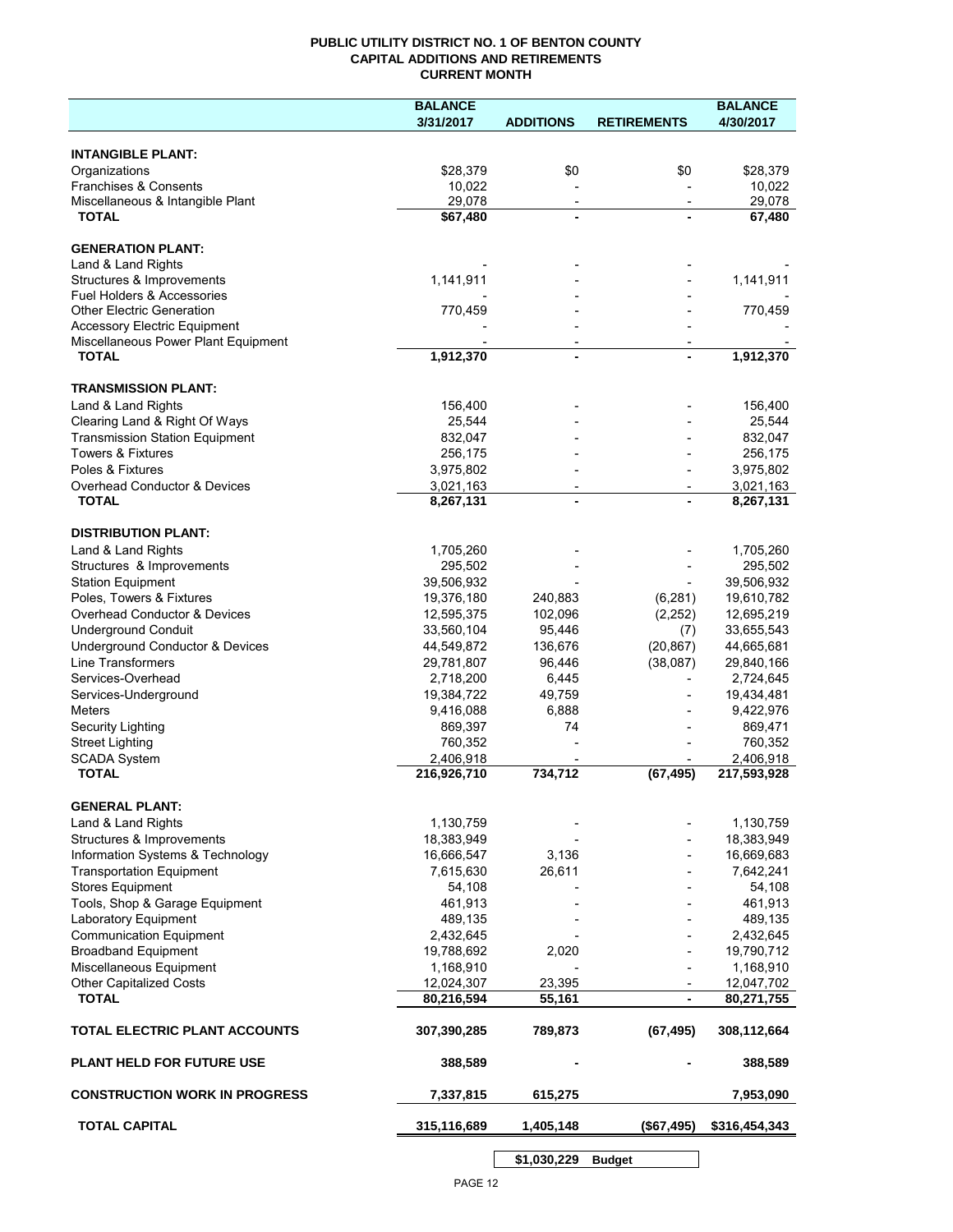### **PUBLIC UTILITY DISTRICT NO. 1 OF BENTON COUNTY CAPITAL ADDITIONS AND RETIREMENTS CURRENT MONTH**

|                                                     | <b>BALANCE</b> |                                            |                          | <b>BALANCE</b> |
|-----------------------------------------------------|----------------|--------------------------------------------|--------------------------|----------------|
|                                                     | 3/31/2017      | <b>ADDITIONS</b>                           | <b>RETIREMENTS</b>       | 4/30/2017      |
| <b>INTANGIBLE PLANT:</b>                            |                |                                            |                          |                |
| Organizations                                       | \$28,379       | \$0                                        | \$0                      | \$28,379       |
| Franchises & Consents                               | 10,022         |                                            |                          | 10,022         |
| Miscellaneous & Intangible Plant                    | 29,078         | $\overline{\phantom{a}}$                   | $\overline{\phantom{a}}$ | 29,078         |
| <b>TOTAL</b>                                        | \$67,480       | $\blacksquare$                             |                          | 67,480         |
| <b>GENERATION PLANT:</b>                            |                |                                            |                          |                |
| Land & Land Rights                                  |                |                                            |                          |                |
| Structures & Improvements                           | 1,141,911      |                                            |                          | 1,141,911      |
| <b>Fuel Holders &amp; Accessories</b>               |                |                                            |                          |                |
| <b>Other Electric Generation</b>                    | 770,459        |                                            |                          | 770,459        |
| <b>Accessory Electric Equipment</b>                 |                |                                            |                          |                |
| Miscellaneous Power Plant Equipment<br><b>TOTAL</b> | 1,912,370      | $\overline{\phantom{a}}$<br>$\blacksquare$ |                          | 1,912,370      |
|                                                     |                |                                            |                          |                |
| <b>TRANSMISSION PLANT:</b>                          |                |                                            |                          |                |
| Land & Land Rights                                  | 156,400        |                                            |                          | 156,400        |
| Clearing Land & Right Of Ways                       | 25,544         |                                            |                          | 25,544         |
| <b>Transmission Station Equipment</b>               | 832,047        |                                            |                          | 832,047        |
| <b>Towers &amp; Fixtures</b>                        | 256,175        |                                            |                          | 256,175        |
| Poles & Fixtures                                    | 3,975,802      |                                            |                          | 3,975,802      |
| Overhead Conductor & Devices                        | 3,021,163      |                                            |                          | 3,021,163      |
| <b>TOTAL</b>                                        | 8,267,131      |                                            |                          | 8,267,131      |
| <b>DISTRIBUTION PLANT:</b>                          |                |                                            |                          |                |
| Land & Land Rights                                  | 1,705,260      |                                            |                          | 1,705,260      |
| Structures & Improvements                           | 295,502        |                                            |                          | 295,502        |
| <b>Station Equipment</b>                            | 39,506,932     |                                            |                          | 39,506,932     |
| Poles, Towers & Fixtures                            | 19,376,180     | 240,883                                    | (6, 281)                 | 19,610,782     |
| Overhead Conductor & Devices                        | 12,595,375     | 102,096                                    | (2, 252)                 | 12,695,219     |
| <b>Underground Conduit</b>                          | 33,560,104     | 95,446                                     | (7)                      | 33,655,543     |
| Underground Conductor & Devices                     | 44,549,872     | 136,676                                    | (20, 867)                | 44,665,681     |
| <b>Line Transformers</b>                            | 29,781,807     | 96,446                                     | (38,087)                 | 29,840,166     |
| Services-Overhead                                   | 2,718,200      | 6,445                                      |                          | 2,724,645      |
| Services-Underground                                | 19,384,722     | 49,759                                     |                          | 19,434,481     |
| <b>Meters</b>                                       | 9,416,088      | 6,888                                      |                          | 9,422,976      |
| Security Lighting                                   | 869,397        | 74                                         |                          | 869,471        |
| <b>Street Lighting</b>                              | 760,352        |                                            |                          | 760,352        |
| <b>SCADA System</b><br><b>TOTAL</b>                 | 2,406,918      |                                            |                          | 2,406,918      |
|                                                     | 216,926,710    | 734,712                                    | (67, 495)                | 217,593,928    |
| <b>GENERAL PLANT:</b>                               |                |                                            |                          |                |
| Land & Land Rights                                  | 1,130,759      |                                            |                          | 1,130,759      |
| Structures & Improvements                           | 18,383,949     |                                            |                          | 18,383,949     |
| Information Systems & Technology                    | 16,666,547     | 3,136                                      |                          | 16,669,683     |
| <b>Transportation Equipment</b>                     | 7,615,630      | 26,611                                     |                          | 7,642,241      |
| <b>Stores Equipment</b>                             | 54,108         |                                            |                          | 54,108         |
| Tools, Shop & Garage Equipment                      | 461,913        |                                            |                          | 461,913        |
| Laboratory Equipment                                | 489,135        |                                            |                          | 489,135        |
| <b>Communication Equipment</b>                      | 2,432,645      |                                            |                          | 2,432,645      |
| <b>Broadband Equipment</b>                          | 19,788,692     | 2,020                                      |                          | 19,790,712     |
| Miscellaneous Equipment                             | 1,168,910      |                                            |                          | 1,168,910      |
| <b>Other Capitalized Costs</b>                      | 12,024,307     | 23,395                                     |                          | 12,047,702     |
| <b>TOTAL</b>                                        | 80,216,594     | 55,161                                     | $\blacksquare$           | 80,271,755     |
| TOTAL ELECTRIC PLANT ACCOUNTS                       | 307,390,285    | 789,873                                    | (67, 495)                | 308,112,664    |
| <b>PLANT HELD FOR FUTURE USE</b>                    | 388,589        |                                            |                          | 388,589        |
| <b>CONSTRUCTION WORK IN PROGRESS</b>                | 7,337,815      | 615,275                                    |                          | 7,953,090      |
| <b>TOTAL CAPITAL</b>                                | 315,116,689    | 1,405,148                                  | (\$67,495)               | \$316,454,343  |
|                                                     |                |                                            |                          |                |

**\$1,030,229 Budget**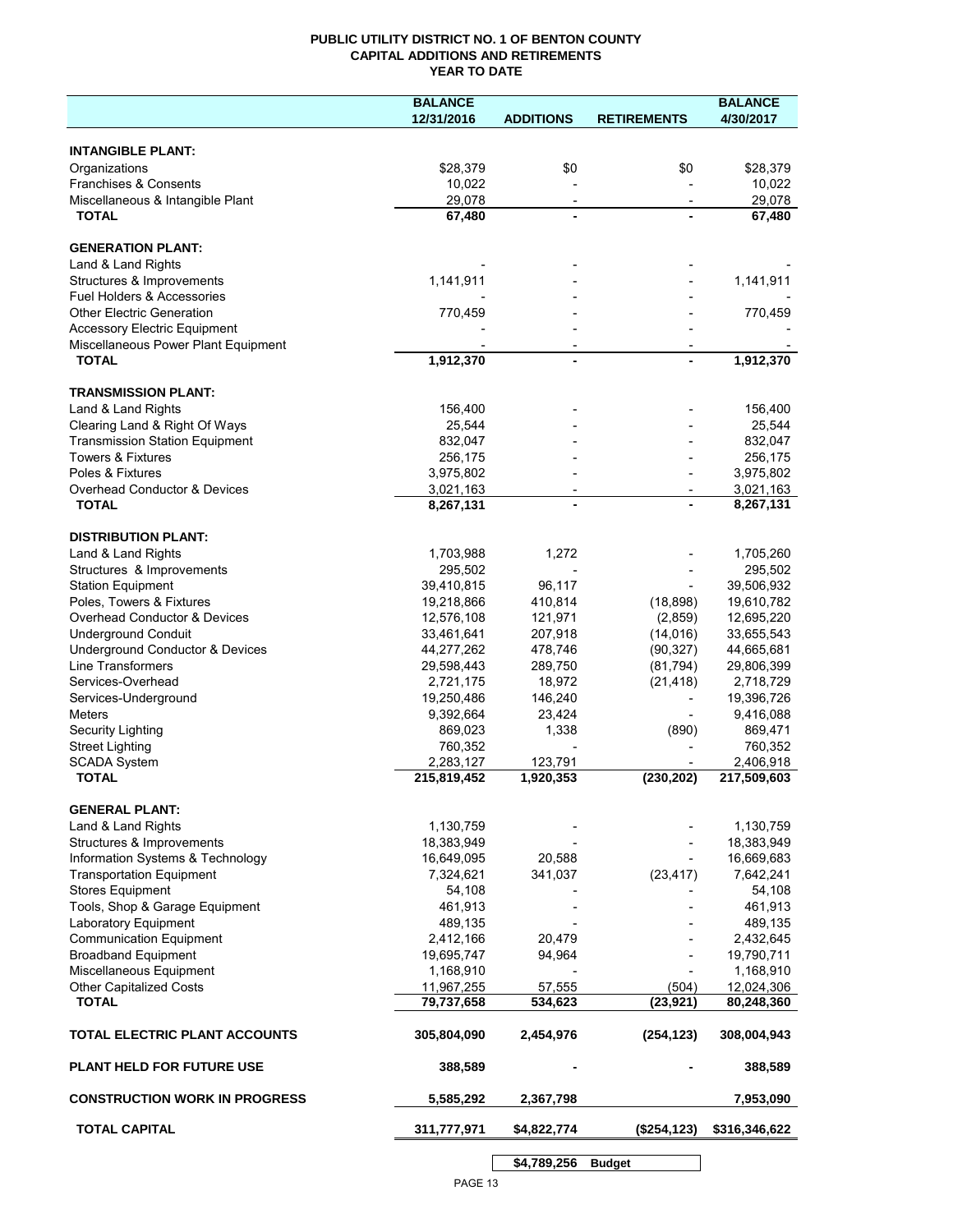## **PUBLIC UTILITY DISTRICT NO. 1 OF BENTON COUNTY CAPITAL ADDITIONS AND RETIREMENTS YEAR TO DATE**

|                                                      | <b>BALANCE</b>           |                          |                        | <b>BALANCE</b>           |
|------------------------------------------------------|--------------------------|--------------------------|------------------------|--------------------------|
|                                                      | 12/31/2016               | <b>ADDITIONS</b>         | <b>RETIREMENTS</b>     | 4/30/2017                |
|                                                      |                          |                          |                        |                          |
| <b>INTANGIBLE PLANT:</b>                             |                          |                          |                        |                          |
| Organizations                                        | \$28,379                 | \$0                      | \$0                    | \$28,379                 |
| Franchises & Consents                                | 10,022                   |                          |                        | 10,022                   |
| Miscellaneous & Intangible Plant                     | 29,078                   | $\overline{\phantom{a}}$ |                        | 29,078                   |
| <b>TOTAL</b>                                         | 67,480                   |                          |                        | 67,480                   |
| <b>GENERATION PLANT:</b>                             |                          |                          |                        |                          |
|                                                      |                          |                          |                        |                          |
| Land & Land Rights<br>Structures & Improvements      | 1,141,911                |                          |                        | 1,141,911                |
| <b>Fuel Holders &amp; Accessories</b>                |                          |                          |                        |                          |
| <b>Other Electric Generation</b>                     | 770,459                  |                          |                        | 770,459                  |
| <b>Accessory Electric Equipment</b>                  |                          |                          |                        |                          |
| Miscellaneous Power Plant Equipment                  |                          |                          |                        |                          |
| <b>TOTAL</b>                                         | 1,912,370                |                          | $\blacksquare$         | 1,912,370                |
|                                                      |                          |                          |                        |                          |
| <b>TRANSMISSION PLANT:</b>                           |                          |                          |                        |                          |
| Land & Land Rights                                   | 156,400                  |                          |                        | 156,400                  |
| Clearing Land & Right Of Ways                        | 25.544                   |                          |                        | 25,544                   |
| <b>Transmission Station Equipment</b>                | 832,047                  |                          |                        | 832,047                  |
| <b>Towers &amp; Fixtures</b>                         | 256,175                  |                          |                        | 256,175                  |
| Poles & Fixtures                                     | 3,975,802                |                          |                        | 3,975,802                |
| Overhead Conductor & Devices                         | 3,021,163                | $\overline{\phantom{a}}$ |                        | 3,021,163                |
| <b>TOTAL</b>                                         | 8,267,131                |                          |                        | 8,267,131                |
|                                                      |                          |                          |                        |                          |
| <b>DISTRIBUTION PLANT:</b>                           |                          |                          |                        |                          |
| Land & Land Rights                                   | 1,703,988                | 1,272                    |                        | 1,705,260                |
| Structures & Improvements                            | 295,502                  |                          |                        | 295,502                  |
| <b>Station Equipment</b>                             | 39,410,815               | 96,117                   |                        | 39,506,932               |
| Poles, Towers & Fixtures                             | 19,218,866               | 410,814                  | (18, 898)              | 19,610,782               |
| Overhead Conductor & Devices                         | 12,576,108               | 121,971                  | (2,859)                | 12,695,220               |
| <b>Underground Conduit</b>                           | 33,461,641<br>44,277,262 | 207,918<br>478,746       | (14, 016)              | 33,655,543               |
| Underground Conductor & Devices<br>Line Transformers | 29,598,443               | 289,750                  | (90, 327)<br>(81, 794) | 44,665,681<br>29,806,399 |
| Services-Overhead                                    | 2,721,175                | 18,972                   | (21, 418)              | 2,718,729                |
| Services-Underground                                 | 19,250,486               | 146,240                  |                        | 19,396,726               |
| <b>Meters</b>                                        | 9,392,664                | 23,424                   |                        | 9,416,088                |
| <b>Security Lighting</b>                             | 869,023                  | 1,338                    | (890)                  | 869,471                  |
| <b>Street Lighting</b>                               | 760,352                  |                          |                        | 760,352                  |
| <b>SCADA System</b>                                  | 2,283,127                | 123,791                  |                        | 2,406,918                |
| <b>TOTAL</b>                                         | 215,819,452              | 1,920,353                | (230, 202)             | 217,509,603              |
|                                                      |                          |                          |                        |                          |
| <b>GENERAL PLANT:</b>                                |                          |                          |                        |                          |
| Land & Land Rights                                   | 1,130,759                |                          |                        | 1,130,759                |
| Structures & Improvements                            | 18,383,949               |                          |                        | 18,383,949               |
| Information Systems & Technology                     | 16,649,095               | 20,588                   |                        | 16,669,683               |
| <b>Transportation Equipment</b>                      | 7,324,621                | 341,037                  | (23, 417)              | 7,642,241                |
| <b>Stores Equipment</b>                              | 54,108                   |                          |                        | 54,108                   |
| Tools, Shop & Garage Equipment                       | 461,913                  |                          |                        | 461,913                  |
| Laboratory Equipment                                 | 489,135                  |                          |                        | 489,135                  |
| <b>Communication Equipment</b>                       | 2,412,166                | 20,479                   |                        | 2,432,645                |
| <b>Broadband Equipment</b>                           | 19,695,747               | 94,964                   |                        | 19,790,711               |
| Miscellaneous Equipment                              | 1,168,910                |                          |                        | 1,168,910                |
| <b>Other Capitalized Costs</b>                       | 11,967,255               | 57,555                   | (504)                  | 12,024,306               |
| <b>TOTAL</b>                                         | 79,737,658               | 534,623                  | (23, 921)              | 80,248,360               |
| TOTAL ELECTRIC PLANT ACCOUNTS                        | 305,804,090              | 2,454,976                | (254, 123)             | 308,004,943              |
| <b>PLANT HELD FOR FUTURE USE</b>                     | 388,589                  |                          |                        | 388,589                  |
| <b>CONSTRUCTION WORK IN PROGRESS</b>                 | 5,585,292                | 2,367,798                |                        | 7,953,090                |
| <b>TOTAL CAPITAL</b>                                 | 311,777,971              | \$4,822,774              | (\$254, 123)           | \$316,346,622            |
|                                                      |                          |                          |                        |                          |
|                                                      |                          | \$4,789,256              | <b>Budget</b>          |                          |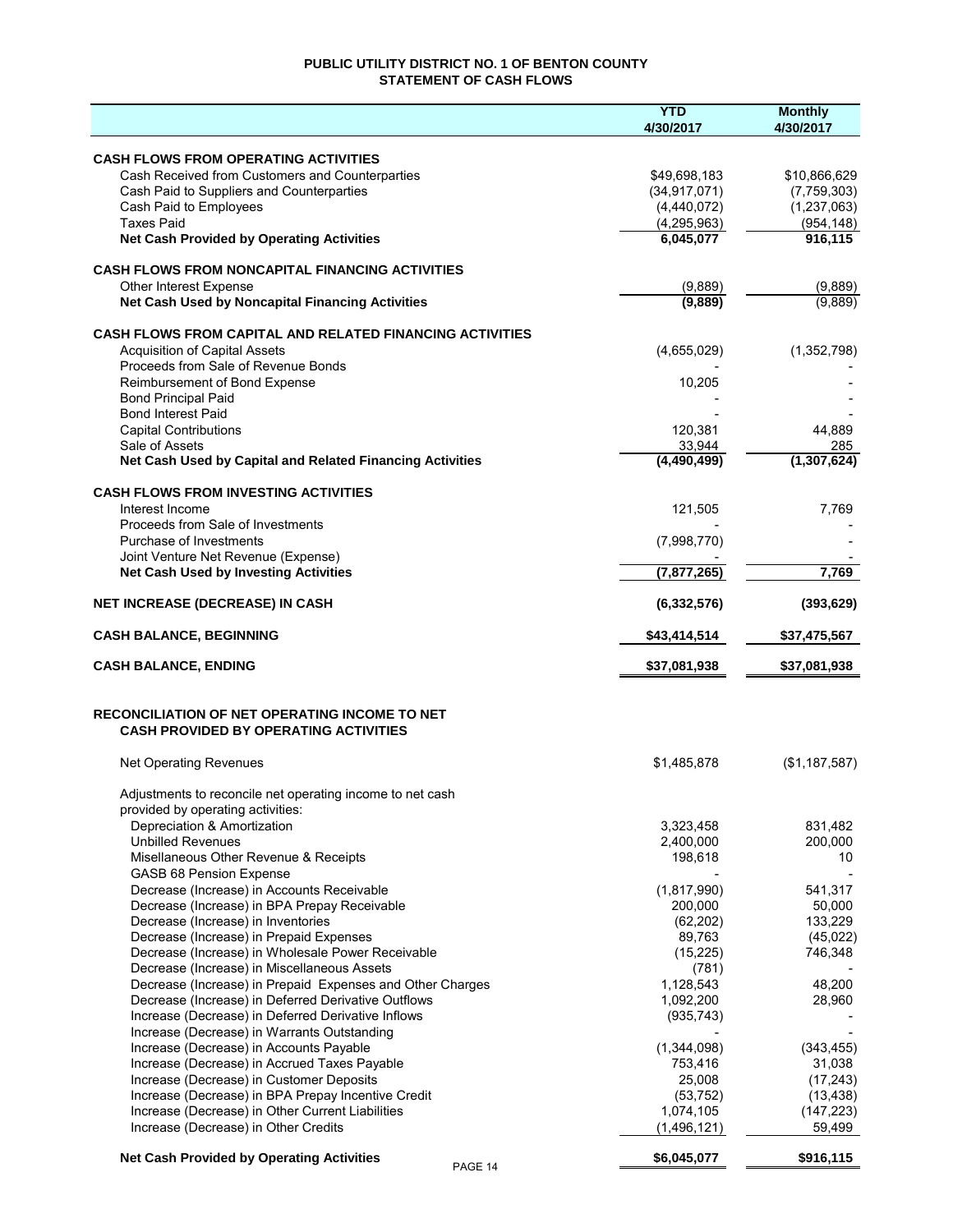## **PUBLIC UTILITY DISTRICT NO. 1 OF BENTON COUNTY STATEMENT OF CASH FLOWS**

|                                                                                          | <b>YTD</b><br>4/30/2017  | <b>Monthly</b><br>4/30/2017 |
|------------------------------------------------------------------------------------------|--------------------------|-----------------------------|
| <b>CASH FLOWS FROM OPERATING ACTIVITIES</b>                                              |                          |                             |
| Cash Received from Customers and Counterparties                                          | \$49,698,183             | \$10,866,629                |
| Cash Paid to Suppliers and Counterparties                                                | (34, 917, 071)           | (7,759,303)                 |
| Cash Paid to Employees                                                                   | (4,440,072)              | (1, 237, 063)               |
| <b>Taxes Paid</b>                                                                        | (4, 295, 963)            | (954, 148)                  |
| <b>Net Cash Provided by Operating Activities</b>                                         | 6,045,077                | 916,115                     |
| <b>CASH FLOWS FROM NONCAPITAL FINANCING ACTIVITIES</b>                                   |                          |                             |
| Other Interest Expense                                                                   | (9,889)                  | (9,889)                     |
| Net Cash Used by Noncapital Financing Activities                                         | (9,889)                  | (9,889)                     |
| <b>CASH FLOWS FROM CAPITAL AND RELATED FINANCING ACTIVITIES</b>                          |                          |                             |
| <b>Acquisition of Capital Assets</b>                                                     | (4,655,029)              | (1,352,798)                 |
| Proceeds from Sale of Revenue Bonds                                                      |                          |                             |
| Reimbursement of Bond Expense                                                            | 10,205                   |                             |
| <b>Bond Principal Paid</b><br><b>Bond Interest Paid</b>                                  |                          |                             |
| <b>Capital Contributions</b>                                                             | 120,381                  | 44,889                      |
| Sale of Assets                                                                           | 33,944                   | 285                         |
| Net Cash Used by Capital and Related Financing Activities                                | (4,490,499)              | (1, 307, 624)               |
| <b>CASH FLOWS FROM INVESTING ACTIVITIES</b>                                              |                          |                             |
| Interest Income                                                                          | 121,505                  | 7,769                       |
| Proceeds from Sale of Investments                                                        |                          |                             |
| Purchase of Investments<br>Joint Venture Net Revenue (Expense)                           | (7,998,770)              |                             |
| <b>Net Cash Used by Investing Activities</b>                                             | (7, 877, 265)            | 7,769                       |
| <b>NET INCREASE (DECREASE) IN CASH</b>                                                   | (6, 332, 576)            | (393, 629)                  |
| <b>CASH BALANCE, BEGINNING</b>                                                           | \$43,414,514             | \$37,475,567                |
|                                                                                          |                          |                             |
| <b>CASH BALANCE, ENDING</b>                                                              | \$37,081,938             | \$37,081,938                |
| <b>RECONCILIATION OF NET OPERATING INCOME TO NET</b>                                     |                          |                             |
| <b>CASH PROVIDED BY OPERATING ACTIVITIES</b>                                             |                          |                             |
| <b>Net Operating Revenues</b>                                                            | \$1,485,878              | (\$1,187,587)               |
| Adjustments to reconcile net operating income to net cash                                |                          |                             |
| provided by operating activities:                                                        |                          |                             |
| Depreciation & Amortization                                                              | 3,323,458                | 831,482                     |
| <b>Unbilled Revenues</b>                                                                 | 2,400,000                | 200,000                     |
| Misellaneous Other Revenue & Receipts                                                    | 198,618                  | 10                          |
| GASB 68 Pension Expense                                                                  |                          |                             |
| Decrease (Increase) in Accounts Receivable                                               | (1,817,990)              | 541,317                     |
| Decrease (Increase) in BPA Prepay Receivable<br>Decrease (Increase) in Inventories       | 200,000<br>(62, 202)     | 50,000<br>133,229           |
| Decrease (Increase) in Prepaid Expenses                                                  | 89,763                   | (45,022)                    |
| Decrease (Increase) in Wholesale Power Receivable                                        | (15, 225)                | 746,348                     |
| Decrease (Increase) in Miscellaneous Assets                                              | (781)                    |                             |
| Decrease (Increase) in Prepaid Expenses and Other Charges                                | 1,128,543                | 48,200                      |
| Decrease (Increase) in Deferred Derivative Outflows                                      | 1,092,200                | 28,960                      |
| Increase (Decrease) in Deferred Derivative Inflows                                       | (935, 743)               |                             |
| Increase (Decrease) in Warrants Outstanding                                              |                          |                             |
| Increase (Decrease) in Accounts Payable                                                  | (1,344,098)              | (343, 455)                  |
| Increase (Decrease) in Accrued Taxes Payable                                             | 753,416                  | 31,038                      |
| Increase (Decrease) in Customer Deposits                                                 | 25,008                   | (17, 243)                   |
| Increase (Decrease) in BPA Prepay Incentive Credit                                       | (53, 752)                | (13, 438)                   |
| Increase (Decrease) in Other Current Liabilities<br>Increase (Decrease) in Other Credits | 1,074,105<br>(1,496,121) | (147, 223)<br>59,499        |
| <b>Net Cash Provided by Operating Activities</b>                                         | \$6,045,077              | \$916,115                   |
| PAGE 14                                                                                  |                          |                             |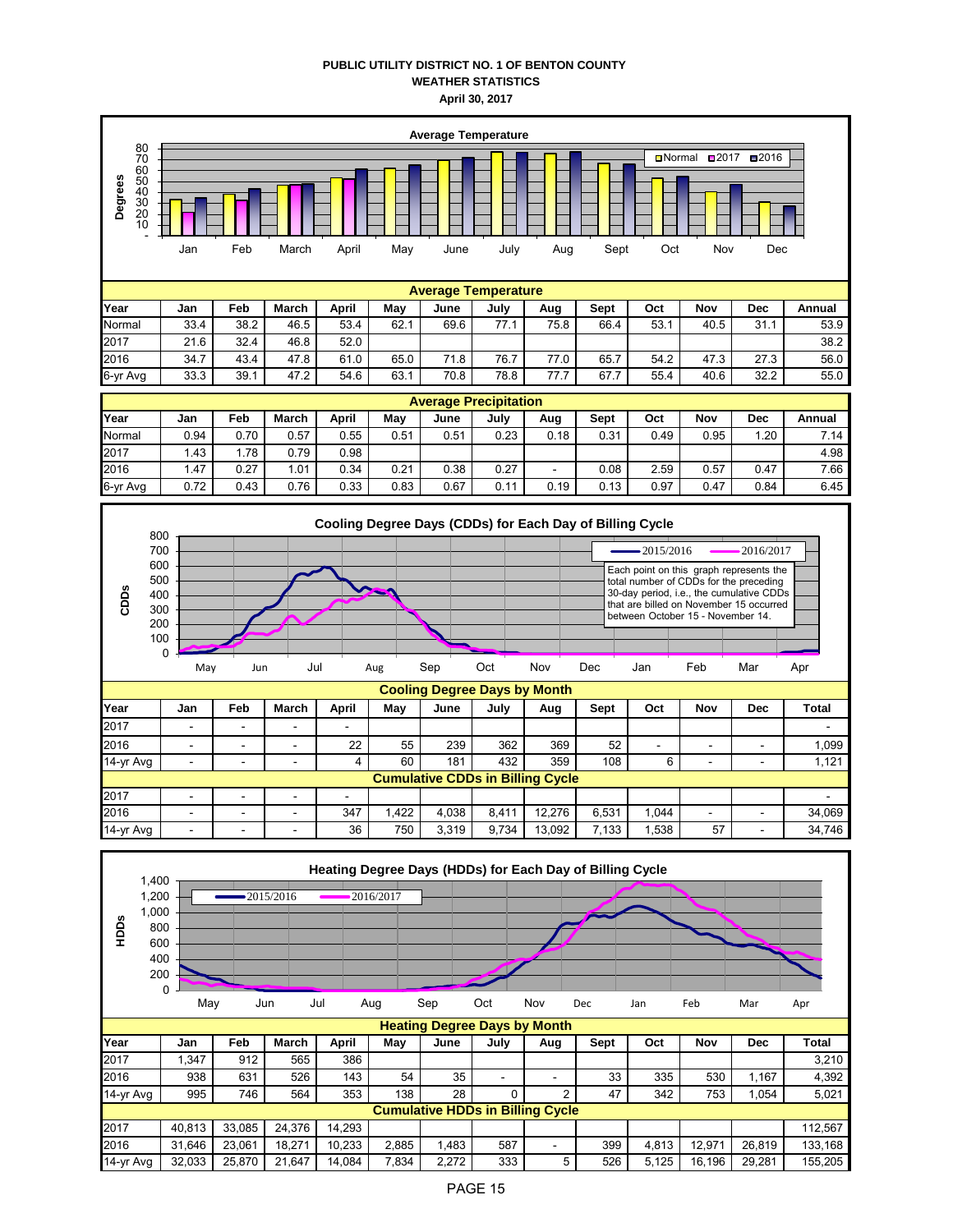## **PUBLIC UTILITY DISTRICT NO. 1 OF BENTON COUNTY WEATHER STATISTICS April 30, 2017**



| Year     | Jan  | Feb  | March | April | Mav  | June | July         | Aug  | Sept | Oct  | Nov  | Dec  | Annual |
|----------|------|------|-------|-------|------|------|--------------|------|------|------|------|------|--------|
| Normal   | 0.94 | 0.70 | 0.57  | 0.55  | 0.51 | J.51 | 0.23         | 0.18 | 0.31 | 0.49 | 0.95 | .20  | 7.14   |
| 2017     | .43  | .78  | 0.79  | 0.98  |      |      |              |      |      |      |      |      | 4.98   |
| 2016     | . 47 | 0.27 | 1.01  | 0.34  | 0.21 | 0.38 | 0.27         |      | 0.08 | 2.59 | 0.57 | 0.47 | 7.66   |
| 6-yr Avg | 0.72 | 0.43 | 0.76  | 0.33  | 0.83 | 0.67 | - 11<br>v. I | 0.19 | 0.13 | 0.97 | 0.47 | 0.84 | 6.45   |



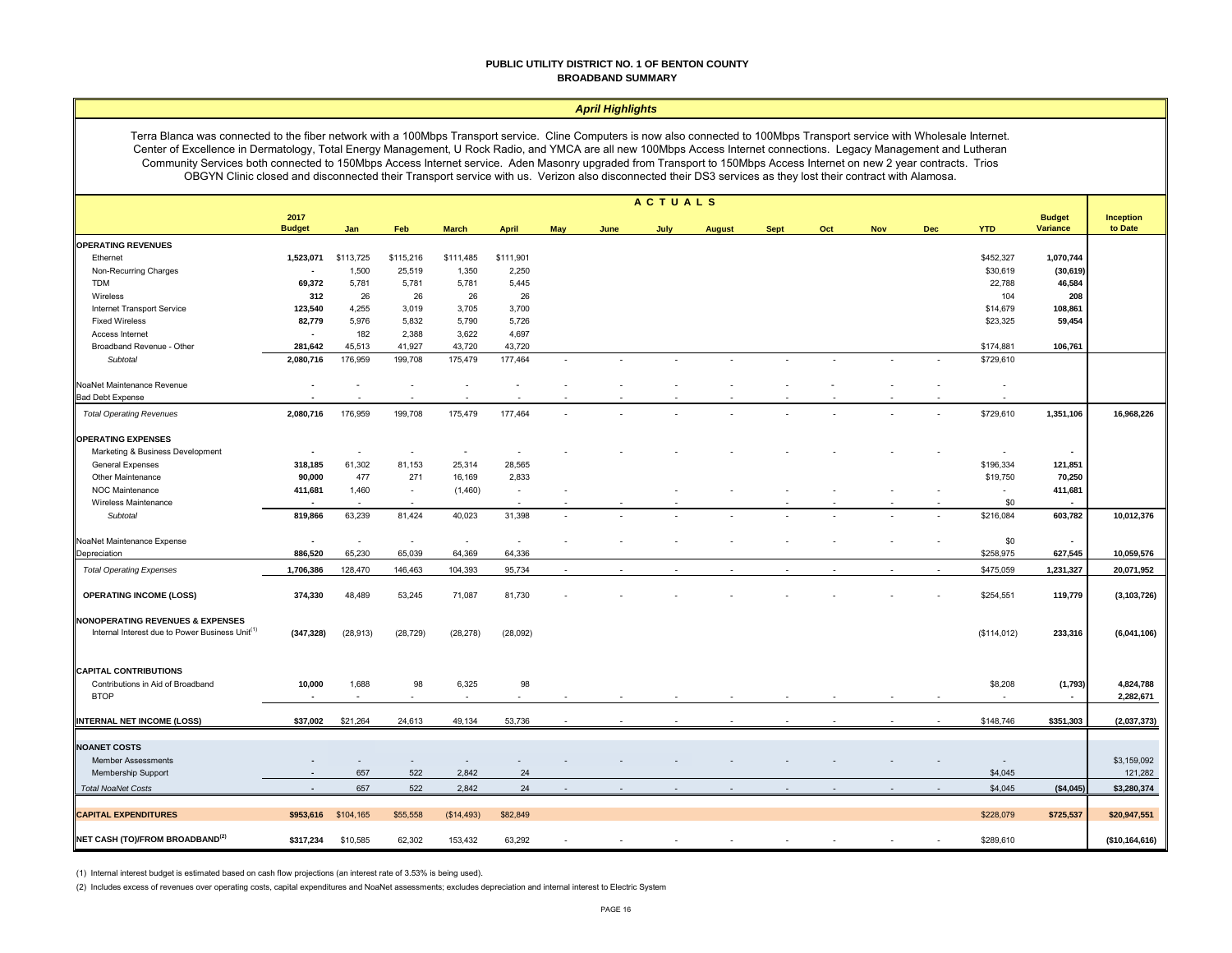#### **PUBLIC UTILITY DISTRICT NO. 1 OF BENTON COUNTY BROADBAND SUMMARY**

#### *April Highlights*

Terra Blanca was connected to the fiber network with a 100Mbps Transport service. Cline Computers is now also connected to 100Mbps Transport service with Wholesale Internet. Center of Excellence in Dermatology, Total Energy Management, U Rock Radio, and YMCA are all new 100Mbps Access Internet connections. Legacy Management and Lutheran Community Services both connected to 150Mbps Access Internet service. Aden Masonry upgraded from Transport to 150Mbps Access Internet on new 2 year contracts. Trios OBGYN Clinic closed and disconnected their Transport service with us. Verizon also disconnected their DS3 services as they lost their contract with Alamosa.

|                                                             |                          |                          |                          |              |              |        |      | ACTUALS |                |             |                |            |            |                          |                           |                      |
|-------------------------------------------------------------|--------------------------|--------------------------|--------------------------|--------------|--------------|--------|------|---------|----------------|-------------|----------------|------------|------------|--------------------------|---------------------------|----------------------|
|                                                             | 2017<br><b>Budget</b>    | Jan                      | Feb                      | <b>March</b> | <b>April</b> | May    | June | July    | <b>August</b>  | <b>Sept</b> | Oct            | <b>Nov</b> | <b>Dec</b> | <b>YTD</b>               | <b>Budget</b><br>Variance | Inception<br>to Date |
| <b>OPERATING REVENUES</b>                                   |                          |                          |                          |              |              |        |      |         |                |             |                |            |            |                          |                           |                      |
| Ethernet                                                    | 1,523,071                | \$113,725                | \$115,216                | \$111,485    | \$111,901    |        |      |         |                |             |                |            |            | \$452,327                | 1,070,744                 |                      |
| Non-Recurring Charges                                       |                          | 1,500                    | 25,519                   | 1,350        | 2,250        |        |      |         |                |             |                |            |            | \$30,619                 | (30, 619)                 |                      |
| <b>TDM</b>                                                  | 69,372                   | 5,781                    | 5,781                    | 5,781        | 5,445        |        |      |         |                |             |                |            |            | 22,788                   | 46,584                    |                      |
| Wireless                                                    | 312                      | 26                       | 26                       | 26           | 26           |        |      |         |                |             |                |            |            | 104                      | 208                       |                      |
| Internet Transport Service                                  | 123,540                  | 4,255                    | 3,019                    | 3,705        | 3,700        |        |      |         |                |             |                |            |            | \$14,679                 | 108,861                   |                      |
| <b>Fixed Wireless</b>                                       | 82,779                   | 5,976                    | 5,832                    | 5,790        | 5,726        |        |      |         |                |             |                |            |            | \$23,325                 | 59,454                    |                      |
| Access Internet                                             | $\overline{\phantom{a}}$ | 182                      | 2,388                    | 3,622        | 4,697        |        |      |         |                |             |                |            |            |                          |                           |                      |
| Broadband Revenue - Other                                   | 281,642                  | 45,513                   | 41,927                   | 43,720       | 43,720       |        |      |         |                |             |                |            |            | \$174,881                | 106,761                   |                      |
| Subtotal                                                    | 2,080,716                | 176,959                  | 199,708                  | 175,479      | 177,464      | $\sim$ |      |         | $\overline{a}$ |             | $\overline{a}$ |            |            | \$729,610                |                           |                      |
| NoaNet Maintenance Revenue                                  |                          |                          |                          |              |              |        |      |         |                |             |                |            |            |                          |                           |                      |
| <b>Bad Debt Expense</b>                                     |                          |                          |                          |              |              |        |      |         |                |             |                |            |            |                          |                           |                      |
| <b>Total Operating Revenues</b>                             | 2,080,716                | 176,959                  | 199,708                  | 175,479      | 177,464      |        |      |         |                |             |                |            |            | \$729,610                | 1,351,106                 | 16,968,226           |
| <b>OPERATING EXPENSES</b>                                   |                          |                          |                          |              |              |        |      |         |                |             |                |            |            |                          |                           |                      |
| Marketing & Business Development                            |                          |                          |                          | $\sim$       |              |        |      |         |                |             |                |            |            |                          | $\sim$                    |                      |
| General Expenses                                            | 318,185                  | 61,302                   | 81,153                   | 25,314       | 28,565       |        |      |         |                |             |                |            |            | \$196,334                | 121,851                   |                      |
| Other Maintenance                                           | 90,000                   | 477                      | 271                      | 16,169       | 2,833        |        |      |         |                |             |                |            |            | \$19,750                 | 70,250                    |                      |
| NOC Maintenance                                             | 411,681                  | 1,460                    | $\overline{\phantom{a}}$ | (1,460)      | $\sim$       |        |      |         |                |             |                |            |            | $\sim$                   | 411,681                   |                      |
| Wireless Maintenance                                        | $\sim$                   | $\overline{\phantom{a}}$ | $\sim$                   |              | $\sim$       |        |      |         |                |             |                |            |            | \$0                      | $\sim$                    |                      |
| Subtotal                                                    | 819,866                  | 63,239                   | 81,424                   | 40,023       | 31,398       |        |      |         |                |             |                |            |            | \$216,084                | 603,782                   | 10,012,376           |
| NoaNet Maintenance Expense                                  | $\overline{\phantom{a}}$ | $\sim$                   | $\sim$                   | $\sim$       | $\sim$       |        |      |         |                |             |                |            |            | \$0                      | $\blacksquare$            |                      |
| Depreciation                                                | 886,520                  | 65,230                   | 65,039                   | 64,369       | 64,336       |        |      |         |                |             |                |            |            | \$258,975                | 627,545                   | 10,059,576           |
| <b>Total Operating Expenses</b>                             | 1,706,386                | 128,470                  | 146,463                  | 104,393      | 95,734       |        |      |         |                |             |                |            |            | \$475,059                | 1,231,327                 | 20,071,952           |
| <b>OPERATING INCOME (LOSS)</b>                              | 374,330                  | 48,489                   | 53,245                   | 71,087       | 81,730       |        |      |         |                |             |                |            |            | \$254,551                | 119,779                   | (3, 103, 726)        |
| <b>NONOPERATING REVENUES &amp; EXPENSES</b>                 |                          |                          |                          |              |              |        |      |         |                |             |                |            |            |                          |                           |                      |
| Internal Interest due to Power Business Unit <sup>(1)</sup> | (347, 328)               | (28, 913)                | (28, 729)                | (28, 278)    | (28,092)     |        |      |         |                |             |                |            |            | (\$114,012)              | 233,316                   | (6,041,106)          |
|                                                             |                          |                          |                          |              |              |        |      |         |                |             |                |            |            |                          |                           |                      |
| <b>CAPITAL CONTRIBUTIONS</b>                                |                          |                          |                          |              |              |        |      |         |                |             |                |            |            |                          |                           |                      |
| Contributions in Aid of Broadband                           | 10,000                   | 1,688<br>٠               | 98                       | 6,325        | 98           |        |      |         |                |             |                |            |            | \$8,208                  | (1,793)<br>$\sim$         | 4,824,788            |
| <b>BTOP</b>                                                 |                          |                          |                          |              |              |        |      |         |                |             |                |            |            |                          |                           | 2,282,671            |
| <b>INTERNAL NET INCOME (LOSS)</b>                           | \$37,002                 | \$21,264                 | 24,613                   | 49,134       | 53,736       |        |      |         |                |             |                |            |            | \$148,746                | \$351,303                 | (2,037,373)          |
|                                                             |                          |                          |                          |              |              |        |      |         |                |             |                |            |            |                          |                           |                      |
| <b>NOANET COSTS</b>                                         |                          |                          |                          |              |              |        |      |         |                |             |                |            |            |                          |                           |                      |
| <b>Member Assessments</b>                                   |                          |                          |                          |              |              |        |      |         |                |             |                |            |            | $\overline{\phantom{a}}$ |                           | \$3,159,092          |
| Membership Support                                          |                          | 657                      | 522                      | 2,842        | 24           |        |      |         |                |             |                |            |            | \$4,045                  |                           | 121,282              |
| <b>Total NoaNet Costs</b>                                   |                          | 657                      | 522                      | 2,842        | 24           |        |      |         |                |             |                |            |            | \$4,045                  | (\$4,045)                 | \$3,280,374          |
| <b>CAPITAL EXPENDITURES</b>                                 | \$953,616                | \$104,165                | \$55,558                 | (\$14,493)   | \$82,849     |        |      |         |                |             |                |            |            | \$228,079                | \$725,537                 | \$20,947,551         |
| NET CASH (TO)/FROM BROADBAND <sup>(2)</sup>                 | \$317,234                | \$10,585                 | 62,302                   | 153,432      | 63,292       |        |      |         |                |             |                |            |            | \$289,610                |                           | (\$10, 164, 616)     |
|                                                             |                          |                          |                          |              |              |        |      |         |                |             |                |            |            |                          |                           |                      |

(1) Internal interest budget is estimated based on cash flow projections (an interest rate of 3.53% is being used).

(2) Includes excess of revenues over operating costs, capital expenditures and NoaNet assessments; excludes depreciation and internal interest to Electric System